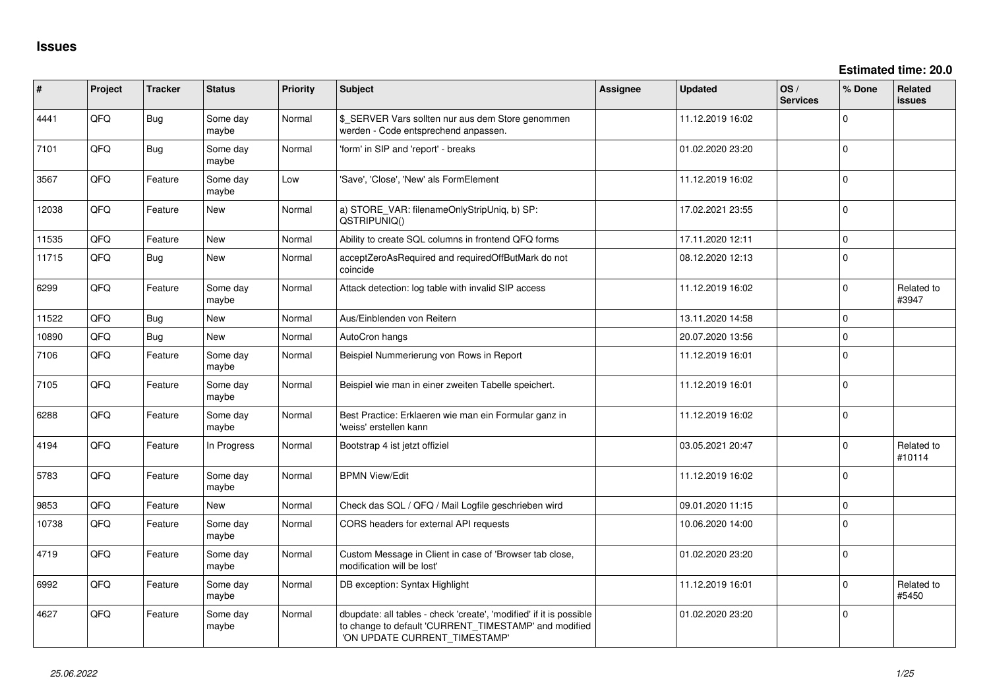**Estimated time: 20.0**

| #     | Project | <b>Tracker</b> | <b>Status</b>     | <b>Priority</b> | <b>Subject</b>                                                                                                                                                | Assignee | <b>Updated</b>   | OS/<br><b>Services</b> | % Done   | Related<br><b>issues</b> |
|-------|---------|----------------|-------------------|-----------------|---------------------------------------------------------------------------------------------------------------------------------------------------------------|----------|------------------|------------------------|----------|--------------------------|
| 4441  | QFQ     | Bug            | Some day<br>maybe | Normal          | \$ SERVER Vars sollten nur aus dem Store genommen<br>werden - Code entsprechend anpassen.                                                                     |          | 11.12.2019 16:02 |                        | $\Omega$ |                          |
| 7101  | QFQ     | Bug            | Some day<br>maybe | Normal          | 'form' in SIP and 'report' - breaks                                                                                                                           |          | 01.02.2020 23:20 |                        | $\Omega$ |                          |
| 3567  | QFQ     | Feature        | Some day<br>maybe | Low             | 'Save', 'Close', 'New' als FormElement                                                                                                                        |          | 11.12.2019 16:02 |                        | $\Omega$ |                          |
| 12038 | QFQ     | Feature        | New               | Normal          | a) STORE_VAR: filenameOnlyStripUniq, b) SP:<br>QSTRIPUNIQ()                                                                                                   |          | 17.02.2021 23:55 |                        | $\Omega$ |                          |
| 11535 | QFQ     | Feature        | <b>New</b>        | Normal          | Ability to create SQL columns in frontend QFQ forms                                                                                                           |          | 17.11.2020 12:11 |                        | $\Omega$ |                          |
| 11715 | QFQ     | Bug            | New               | Normal          | acceptZeroAsRequired and requiredOffButMark do not<br>coincide                                                                                                |          | 08.12.2020 12:13 |                        | $\Omega$ |                          |
| 6299  | QFQ     | Feature        | Some day<br>maybe | Normal          | Attack detection: log table with invalid SIP access                                                                                                           |          | 11.12.2019 16:02 |                        | $\Omega$ | Related to<br>#3947      |
| 11522 | QFQ     | Bug            | <b>New</b>        | Normal          | Aus/Einblenden von Reitern                                                                                                                                    |          | 13.11.2020 14:58 |                        | $\Omega$ |                          |
| 10890 | QFQ     | <b>Bug</b>     | <b>New</b>        | Normal          | AutoCron hangs                                                                                                                                                |          | 20.07.2020 13:56 |                        | $\Omega$ |                          |
| 7106  | QFQ     | Feature        | Some day<br>maybe | Normal          | Beispiel Nummerierung von Rows in Report                                                                                                                      |          | 11.12.2019 16:01 |                        | $\Omega$ |                          |
| 7105  | QFQ     | Feature        | Some day<br>maybe | Normal          | Beispiel wie man in einer zweiten Tabelle speichert.                                                                                                          |          | 11.12.2019 16:01 |                        | $\Omega$ |                          |
| 6288  | QFQ     | Feature        | Some day<br>maybe | Normal          | Best Practice: Erklaeren wie man ein Formular ganz in<br>'weiss' erstellen kann                                                                               |          | 11.12.2019 16:02 |                        | $\Omega$ |                          |
| 4194  | QFQ     | Feature        | In Progress       | Normal          | Bootstrap 4 ist jetzt offiziel                                                                                                                                |          | 03.05.2021 20:47 |                        | $\Omega$ | Related to<br>#10114     |
| 5783  | QFQ     | Feature        | Some day<br>maybe | Normal          | <b>BPMN View/Edit</b>                                                                                                                                         |          | 11.12.2019 16:02 |                        | $\Omega$ |                          |
| 9853  | QFQ     | Feature        | New               | Normal          | Check das SQL / QFQ / Mail Logfile geschrieben wird                                                                                                           |          | 09.01.2020 11:15 |                        | $\Omega$ |                          |
| 10738 | QFQ     | Feature        | Some day<br>maybe | Normal          | CORS headers for external API requests                                                                                                                        |          | 10.06.2020 14:00 |                        | $\Omega$ |                          |
| 4719  | QFQ     | Feature        | Some day<br>maybe | Normal          | Custom Message in Client in case of 'Browser tab close,<br>modification will be lost'                                                                         |          | 01.02.2020 23:20 |                        | $\Omega$ |                          |
| 6992  | QFQ     | Feature        | Some day<br>maybe | Normal          | DB exception: Syntax Highlight                                                                                                                                |          | 11.12.2019 16:01 |                        | $\Omega$ | Related to<br>#5450      |
| 4627  | QFQ     | Feature        | Some day<br>maybe | Normal          | dbupdate: all tables - check 'create', 'modified' if it is possible<br>to change to default 'CURRENT_TIMESTAMP' and modified<br>'ON UPDATE CURRENT_TIMESTAMP' |          | 01.02.2020 23:20 |                        | $\Omega$ |                          |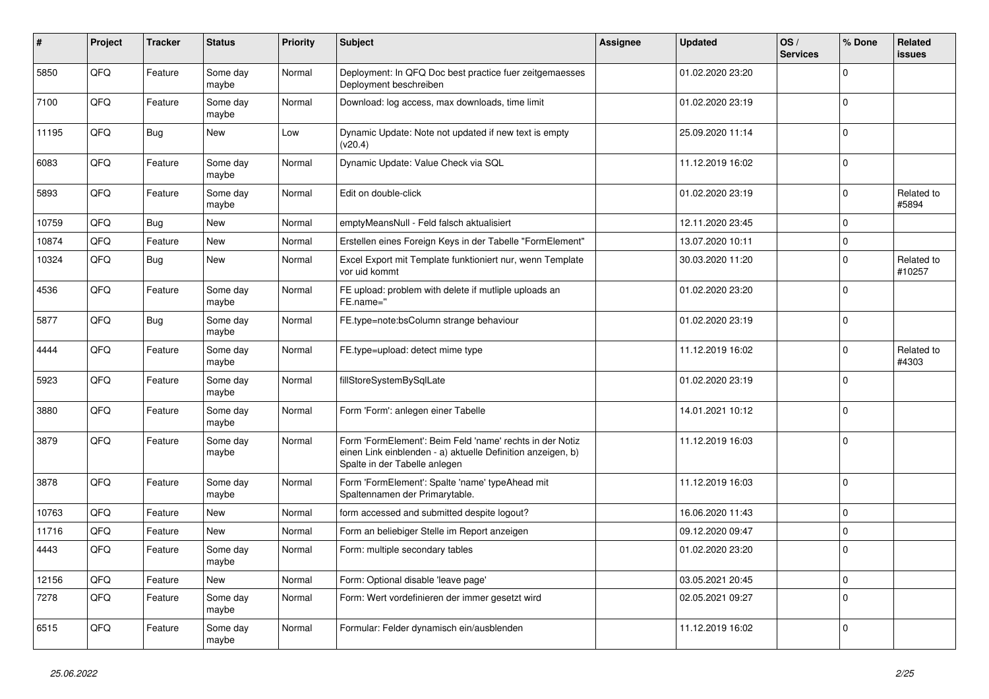| #     | Project | <b>Tracker</b> | <b>Status</b>     | <b>Priority</b> | Subject                                                                                                                                                  | <b>Assignee</b> | <b>Updated</b>   | OS/<br><b>Services</b> | % Done      | Related<br>issues    |
|-------|---------|----------------|-------------------|-----------------|----------------------------------------------------------------------------------------------------------------------------------------------------------|-----------------|------------------|------------------------|-------------|----------------------|
| 5850  | QFQ     | Feature        | Some day<br>maybe | Normal          | Deployment: In QFQ Doc best practice fuer zeitgemaesses<br>Deployment beschreiben                                                                        |                 | 01.02.2020 23:20 |                        | $\Omega$    |                      |
| 7100  | QFQ     | Feature        | Some day<br>maybe | Normal          | Download: log access, max downloads, time limit                                                                                                          |                 | 01.02.2020 23:19 |                        | 0           |                      |
| 11195 | QFQ     | Bug            | <b>New</b>        | Low             | Dynamic Update: Note not updated if new text is empty<br>(v20.4)                                                                                         |                 | 25.09.2020 11:14 |                        | 0           |                      |
| 6083  | QFQ     | Feature        | Some day<br>maybe | Normal          | Dynamic Update: Value Check via SQL                                                                                                                      |                 | 11.12.2019 16:02 |                        | $\mathbf 0$ |                      |
| 5893  | QFQ     | Feature        | Some day<br>maybe | Normal          | Edit on double-click                                                                                                                                     |                 | 01.02.2020 23:19 |                        | $\mathbf 0$ | Related to<br>#5894  |
| 10759 | QFQ     | Bug            | New               | Normal          | emptyMeansNull - Feld falsch aktualisiert                                                                                                                |                 | 12.11.2020 23:45 |                        | $\mathbf 0$ |                      |
| 10874 | QFQ     | Feature        | New               | Normal          | Erstellen eines Foreign Keys in der Tabelle "FormElement"                                                                                                |                 | 13.07.2020 10:11 |                        | 0           |                      |
| 10324 | QFQ     | Bug            | New               | Normal          | Excel Export mit Template funktioniert nur, wenn Template<br>vor uid kommt                                                                               |                 | 30.03.2020 11:20 |                        | $\Omega$    | Related to<br>#10257 |
| 4536  | QFQ     | Feature        | Some day<br>maybe | Normal          | FE upload: problem with delete if mutliple uploads an<br>FE.name="                                                                                       |                 | 01.02.2020 23:20 |                        | $\mathbf 0$ |                      |
| 5877  | QFQ     | Bug            | Some day<br>maybe | Normal          | FE.type=note:bsColumn strange behaviour                                                                                                                  |                 | 01.02.2020 23:19 |                        | $\Omega$    |                      |
| 4444  | QFQ     | Feature        | Some day<br>maybe | Normal          | FE.type=upload: detect mime type                                                                                                                         |                 | 11.12.2019 16:02 |                        | $\Omega$    | Related to<br>#4303  |
| 5923  | QFQ     | Feature        | Some day<br>maybe | Normal          | fillStoreSystemBySqlLate                                                                                                                                 |                 | 01.02.2020 23:19 |                        | $\Omega$    |                      |
| 3880  | QFQ     | Feature        | Some day<br>maybe | Normal          | Form 'Form': anlegen einer Tabelle                                                                                                                       |                 | 14.01.2021 10:12 |                        | $\mathbf 0$ |                      |
| 3879  | QFQ     | Feature        | Some day<br>maybe | Normal          | Form 'FormElement': Beim Feld 'name' rechts in der Notiz<br>einen Link einblenden - a) aktuelle Definition anzeigen, b)<br>Spalte in der Tabelle anlegen |                 | 11.12.2019 16:03 |                        | 0           |                      |
| 3878  | QFQ     | Feature        | Some day<br>maybe | Normal          | Form 'FormElement': Spalte 'name' typeAhead mit<br>Spaltennamen der Primarytable.                                                                        |                 | 11.12.2019 16:03 |                        | 0           |                      |
| 10763 | QFQ     | Feature        | New               | Normal          | form accessed and submitted despite logout?                                                                                                              |                 | 16.06.2020 11:43 |                        | $\mathbf 0$ |                      |
| 11716 | QFQ     | Feature        | <b>New</b>        | Normal          | Form an beliebiger Stelle im Report anzeigen                                                                                                             |                 | 09.12.2020 09:47 |                        | $\mathbf 0$ |                      |
| 4443  | QFQ     | Feature        | Some day<br>maybe | Normal          | Form: multiple secondary tables                                                                                                                          |                 | 01.02.2020 23:20 |                        | 0           |                      |
| 12156 | QFQ     | Feature        | New               | Normal          | Form: Optional disable 'leave page'                                                                                                                      |                 | 03.05.2021 20:45 |                        | $\mathbf 0$ |                      |
| 7278  | QFQ     | Feature        | Some day<br>maybe | Normal          | Form: Wert vordefinieren der immer gesetzt wird                                                                                                          |                 | 02.05.2021 09:27 |                        | $\mathbf 0$ |                      |
| 6515  | QFQ     | Feature        | Some day<br>maybe | Normal          | Formular: Felder dynamisch ein/ausblenden                                                                                                                |                 | 11.12.2019 16:02 |                        | 0           |                      |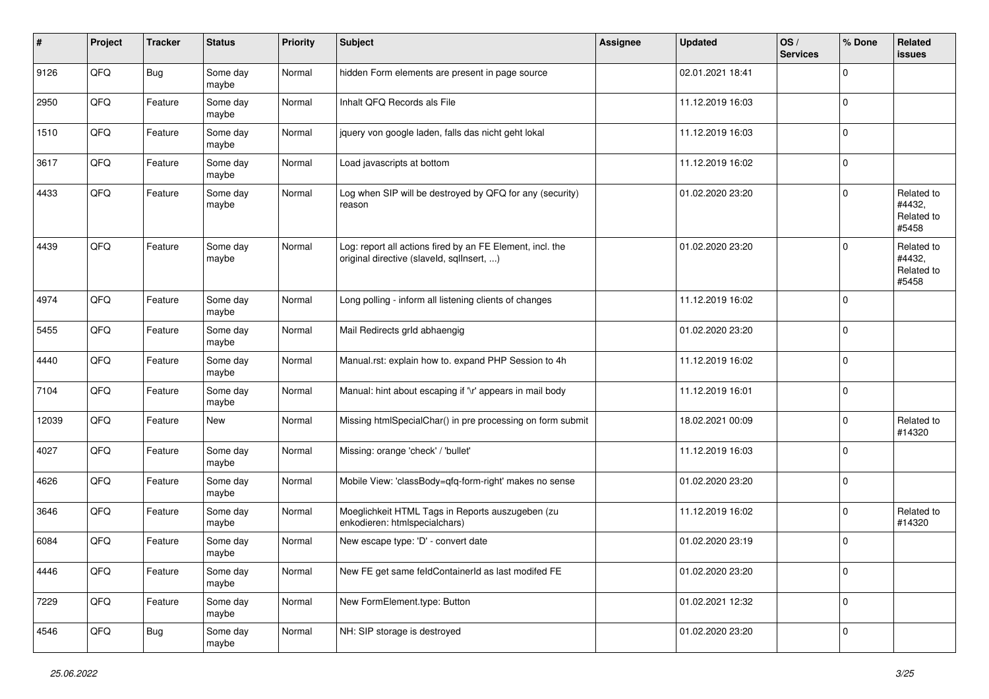| #     | Project | <b>Tracker</b> | <b>Status</b>     | <b>Priority</b> | Subject                                                                                                | <b>Assignee</b> | <b>Updated</b>   | OS/<br><b>Services</b> | % Done      | Related<br><b>issues</b>                    |
|-------|---------|----------------|-------------------|-----------------|--------------------------------------------------------------------------------------------------------|-----------------|------------------|------------------------|-------------|---------------------------------------------|
| 9126  | QFQ     | Bug            | Some day<br>maybe | Normal          | hidden Form elements are present in page source                                                        |                 | 02.01.2021 18:41 |                        | $\Omega$    |                                             |
| 2950  | QFQ     | Feature        | Some day<br>maybe | Normal          | Inhalt QFQ Records als File                                                                            |                 | 11.12.2019 16:03 |                        | 0           |                                             |
| 1510  | QFQ     | Feature        | Some day<br>maybe | Normal          | jquery von google laden, falls das nicht geht lokal                                                    |                 | 11.12.2019 16:03 |                        | $\mathbf 0$ |                                             |
| 3617  | QFQ     | Feature        | Some day<br>maybe | Normal          | Load javascripts at bottom                                                                             |                 | 11.12.2019 16:02 |                        | $\mathbf 0$ |                                             |
| 4433  | QFQ     | Feature        | Some day<br>maybe | Normal          | Log when SIP will be destroyed by QFQ for any (security)<br>reason                                     |                 | 01.02.2020 23:20 |                        | $\Omega$    | Related to<br>#4432,<br>Related to<br>#5458 |
| 4439  | QFQ     | Feature        | Some day<br>maybe | Normal          | Log: report all actions fired by an FE Element, incl. the<br>original directive (slaveld, sqllnsert, ) |                 | 01.02.2020 23:20 |                        | $\Omega$    | Related to<br>#4432,<br>Related to<br>#5458 |
| 4974  | QFQ     | Feature        | Some day<br>maybe | Normal          | Long polling - inform all listening clients of changes                                                 |                 | 11.12.2019 16:02 |                        | 0           |                                             |
| 5455  | QFQ     | Feature        | Some day<br>maybe | Normal          | Mail Redirects grld abhaengig                                                                          |                 | 01.02.2020 23:20 |                        | $\Omega$    |                                             |
| 4440  | QFQ     | Feature        | Some day<br>maybe | Normal          | Manual.rst: explain how to. expand PHP Session to 4h                                                   |                 | 11.12.2019 16:02 |                        | $\mathbf 0$ |                                             |
| 7104  | QFQ     | Feature        | Some day<br>maybe | Normal          | Manual: hint about escaping if '\r' appears in mail body                                               |                 | 11.12.2019 16:01 |                        | $\mathbf 0$ |                                             |
| 12039 | QFQ     | Feature        | New               | Normal          | Missing htmlSpecialChar() in pre processing on form submit                                             |                 | 18.02.2021 00:09 |                        | $\Omega$    | Related to<br>#14320                        |
| 4027  | QFQ     | Feature        | Some day<br>maybe | Normal          | Missing: orange 'check' / 'bullet'                                                                     |                 | 11.12.2019 16:03 |                        | 0           |                                             |
| 4626  | QFQ     | Feature        | Some day<br>maybe | Normal          | Mobile View: 'classBody=qfq-form-right' makes no sense                                                 |                 | 01.02.2020 23:20 |                        | 0           |                                             |
| 3646  | QFQ     | Feature        | Some day<br>maybe | Normal          | Moeglichkeit HTML Tags in Reports auszugeben (zu<br>enkodieren: htmlspecialchars)                      |                 | 11.12.2019 16:02 |                        | $\mathbf 0$ | Related to<br>#14320                        |
| 6084  | QFQ     | Feature        | Some day<br>maybe | Normal          | New escape type: 'D' - convert date                                                                    |                 | 01.02.2020 23:19 |                        | $\Omega$    |                                             |
| 4446  | QFG     | Feature        | Some day<br>maybe | Normal          | New FE get same feldContainerId as last modifed FE                                                     |                 | 01.02.2020 23:20 |                        | 0           |                                             |
| 7229  | QFQ     | Feature        | Some day<br>maybe | Normal          | New FormElement.type: Button                                                                           |                 | 01.02.2021 12:32 |                        | 0           |                                             |
| 4546  | QFQ     | <b>Bug</b>     | Some day<br>maybe | Normal          | NH: SIP storage is destroyed                                                                           |                 | 01.02.2020 23:20 |                        | $\mathbf 0$ |                                             |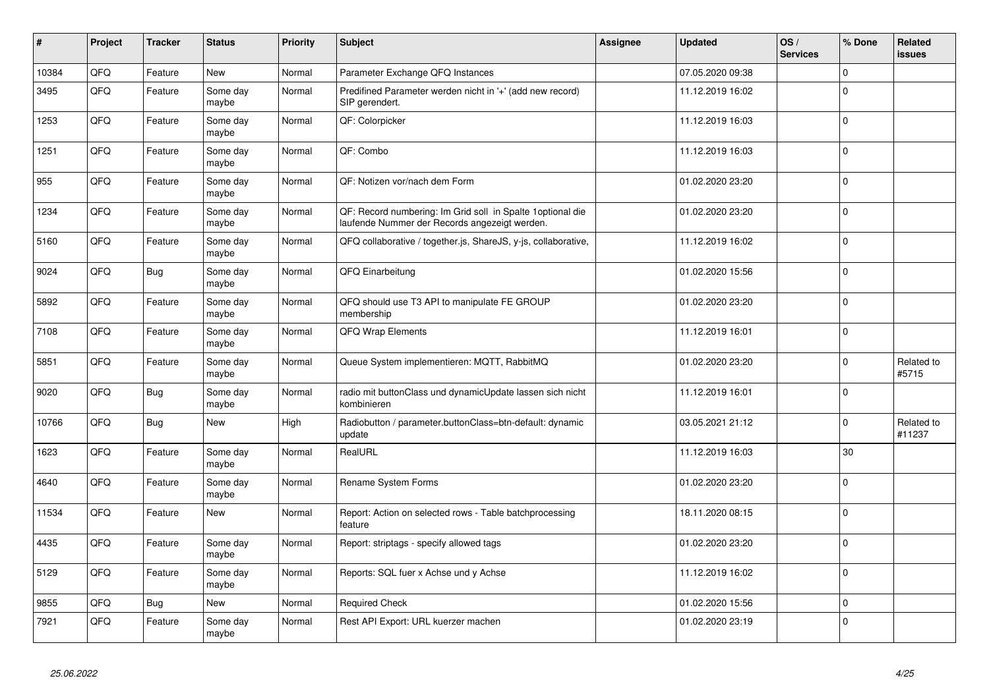| #     | Project | <b>Tracker</b> | <b>Status</b>     | Priority | Subject                                                                                                      | Assignee | <b>Updated</b>   | OS/<br><b>Services</b> | % Done      | Related<br><b>issues</b> |
|-------|---------|----------------|-------------------|----------|--------------------------------------------------------------------------------------------------------------|----------|------------------|------------------------|-------------|--------------------------|
| 10384 | QFQ     | Feature        | New               | Normal   | Parameter Exchange QFQ Instances                                                                             |          | 07.05.2020 09:38 |                        | $\Omega$    |                          |
| 3495  | QFQ     | Feature        | Some day<br>maybe | Normal   | Predifined Parameter werden nicht in '+' (add new record)<br>SIP gerendert.                                  |          | 11.12.2019 16:02 |                        | 0           |                          |
| 1253  | QFQ     | Feature        | Some day<br>maybe | Normal   | QF: Colorpicker                                                                                              |          | 11.12.2019 16:03 |                        | $\Omega$    |                          |
| 1251  | QFQ     | Feature        | Some day<br>maybe | Normal   | QF: Combo                                                                                                    |          | 11.12.2019 16:03 |                        | $\Omega$    |                          |
| 955   | QFQ     | Feature        | Some day<br>maybe | Normal   | QF: Notizen vor/nach dem Form                                                                                |          | 01.02.2020 23:20 |                        | $\Omega$    |                          |
| 1234  | QFQ     | Feature        | Some day<br>maybe | Normal   | QF: Record numbering: Im Grid soll in Spalte 1 optional die<br>laufende Nummer der Records angezeigt werden. |          | 01.02.2020 23:20 |                        | $\Omega$    |                          |
| 5160  | QFQ     | Feature        | Some day<br>maybe | Normal   | QFQ collaborative / together.js, ShareJS, y-js, collaborative,                                               |          | 11.12.2019 16:02 |                        | $\mathbf 0$ |                          |
| 9024  | QFQ     | <b>Bug</b>     | Some day<br>maybe | Normal   | QFQ Einarbeitung                                                                                             |          | 01.02.2020 15:56 |                        | $\Omega$    |                          |
| 5892  | QFQ     | Feature        | Some day<br>maybe | Normal   | QFQ should use T3 API to manipulate FE GROUP<br>membership                                                   |          | 01.02.2020 23:20 |                        | $\Omega$    |                          |
| 7108  | QFQ     | Feature        | Some day<br>maybe | Normal   | QFQ Wrap Elements                                                                                            |          | 11.12.2019 16:01 |                        | $\Omega$    |                          |
| 5851  | QFQ     | Feature        | Some day<br>maybe | Normal   | Queue System implementieren: MQTT, RabbitMQ                                                                  |          | 01.02.2020 23:20 |                        | $\Omega$    | Related to<br>#5715      |
| 9020  | QFQ     | Bug            | Some day<br>maybe | Normal   | radio mit buttonClass und dynamicUpdate lassen sich nicht<br>kombinieren                                     |          | 11.12.2019 16:01 |                        | $\Omega$    |                          |
| 10766 | QFQ     | Bug            | New               | High     | Radiobutton / parameter.buttonClass=btn-default: dynamic<br>update                                           |          | 03.05.2021 21:12 |                        | $\Omega$    | Related to<br>#11237     |
| 1623  | QFQ     | Feature        | Some day<br>maybe | Normal   | RealURL                                                                                                      |          | 11.12.2019 16:03 |                        | 30          |                          |
| 4640  | QFQ     | Feature        | Some day<br>maybe | Normal   | Rename System Forms                                                                                          |          | 01.02.2020 23:20 |                        | $\Omega$    |                          |
| 11534 | QFQ     | Feature        | New               | Normal   | Report: Action on selected rows - Table batchprocessing<br>feature                                           |          | 18.11.2020 08:15 |                        | $\Omega$    |                          |
| 4435  | QFQ     | Feature        | Some day<br>maybe | Normal   | Report: striptags - specify allowed tags                                                                     |          | 01.02.2020 23:20 |                        | $\Omega$    |                          |
| 5129  | QFQ     | Feature        | Some day<br>maybe | Normal   | Reports: SQL fuer x Achse und y Achse                                                                        |          | 11.12.2019 16:02 |                        | $\Omega$    |                          |
| 9855  | QFQ     | <b>Bug</b>     | New               | Normal   | <b>Required Check</b>                                                                                        |          | 01.02.2020 15:56 |                        | $\mathbf 0$ |                          |
| 7921  | QFQ     | Feature        | Some day<br>maybe | Normal   | Rest API Export: URL kuerzer machen                                                                          |          | 01.02.2020 23:19 |                        | $\Omega$    |                          |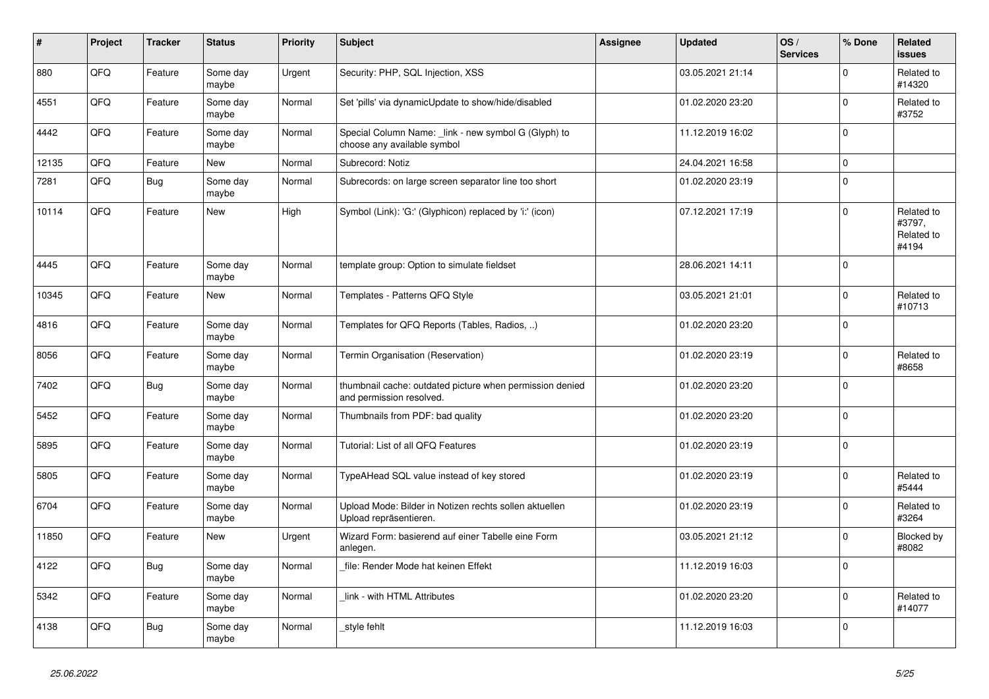| #     | Project | <b>Tracker</b> | <b>Status</b>     | <b>Priority</b> | <b>Subject</b>                                                                       | <b>Assignee</b> | <b>Updated</b>   | OS/<br><b>Services</b> | % Done      | <b>Related</b><br><b>issues</b>             |
|-------|---------|----------------|-------------------|-----------------|--------------------------------------------------------------------------------------|-----------------|------------------|------------------------|-------------|---------------------------------------------|
| 880   | QFQ     | Feature        | Some day<br>maybe | Urgent          | Security: PHP, SQL Injection, XSS                                                    |                 | 03.05.2021 21:14 |                        | $\Omega$    | Related to<br>#14320                        |
| 4551  | QFQ     | Feature        | Some day<br>maybe | Normal          | Set 'pills' via dynamicUpdate to show/hide/disabled                                  |                 | 01.02.2020 23:20 |                        | $\mathbf 0$ | Related to<br>#3752                         |
| 4442  | QFQ     | Feature        | Some day<br>maybe | Normal          | Special Column Name: _link - new symbol G (Glyph) to<br>choose any available symbol  |                 | 11.12.2019 16:02 |                        | $\Omega$    |                                             |
| 12135 | QFQ     | Feature        | <b>New</b>        | Normal          | Subrecord: Notiz                                                                     |                 | 24.04.2021 16:58 |                        | $\mathbf 0$ |                                             |
| 7281  | QFQ     | Bug            | Some day<br>maybe | Normal          | Subrecords: on large screen separator line too short                                 |                 | 01.02.2020 23:19 |                        | $\mathsf 0$ |                                             |
| 10114 | QFQ     | Feature        | <b>New</b>        | High            | Symbol (Link): 'G:' (Glyphicon) replaced by 'i:' (icon)                              |                 | 07.12.2021 17:19 |                        | $\mathbf 0$ | Related to<br>#3797,<br>Related to<br>#4194 |
| 4445  | QFQ     | Feature        | Some day<br>maybe | Normal          | template group: Option to simulate fieldset                                          |                 | 28.06.2021 14:11 |                        | $\mathbf 0$ |                                             |
| 10345 | QFQ     | Feature        | New               | Normal          | Templates - Patterns QFQ Style                                                       |                 | 03.05.2021 21:01 |                        | $\mathsf 0$ | Related to<br>#10713                        |
| 4816  | QFQ     | Feature        | Some day<br>maybe | Normal          | Templates for QFQ Reports (Tables, Radios, )                                         |                 | 01.02.2020 23:20 |                        | $\mathbf 0$ |                                             |
| 8056  | QFQ     | Feature        | Some day<br>maybe | Normal          | Termin Organisation (Reservation)                                                    |                 | 01.02.2020 23:19 |                        | $\mathbf 0$ | Related to<br>#8658                         |
| 7402  | QFQ     | <b>Bug</b>     | Some day<br>maybe | Normal          | thumbnail cache: outdated picture when permission denied<br>and permission resolved. |                 | 01.02.2020 23:20 |                        | $\Omega$    |                                             |
| 5452  | QFQ     | Feature        | Some day<br>maybe | Normal          | Thumbnails from PDF: bad quality                                                     |                 | 01.02.2020 23:20 |                        | $\pmb{0}$   |                                             |
| 5895  | QFQ     | Feature        | Some day<br>maybe | Normal          | Tutorial: List of all QFQ Features                                                   |                 | 01.02.2020 23:19 |                        | $\mathbf 0$ |                                             |
| 5805  | QFQ     | Feature        | Some day<br>maybe | Normal          | TypeAHead SQL value instead of key stored                                            |                 | 01.02.2020 23:19 |                        | $\mathbf 0$ | Related to<br>#5444                         |
| 6704  | QFQ     | Feature        | Some day<br>maybe | Normal          | Upload Mode: Bilder in Notizen rechts sollen aktuellen<br>Upload repräsentieren.     |                 | 01.02.2020 23:19 |                        | $\mathbf 0$ | Related to<br>#3264                         |
| 11850 | QFQ     | Feature        | New               | Urgent          | Wizard Form: basierend auf einer Tabelle eine Form<br>anlegen.                       |                 | 03.05.2021 21:12 |                        | $\mathbf 0$ | Blocked by<br>#8082                         |
| 4122  | QFQ     | Bug            | Some day<br>maybe | Normal          | file: Render Mode hat keinen Effekt                                                  |                 | 11.12.2019 16:03 |                        | $\Omega$    |                                             |
| 5342  | QFQ     | Feature        | Some day<br>maybe | Normal          | link - with HTML Attributes                                                          |                 | 01.02.2020 23:20 |                        | $\mathbf 0$ | Related to<br>#14077                        |
| 4138  | QFQ     | Bug            | Some day<br>maybe | Normal          | style fehlt                                                                          |                 | 11.12.2019 16:03 |                        | $\Omega$    |                                             |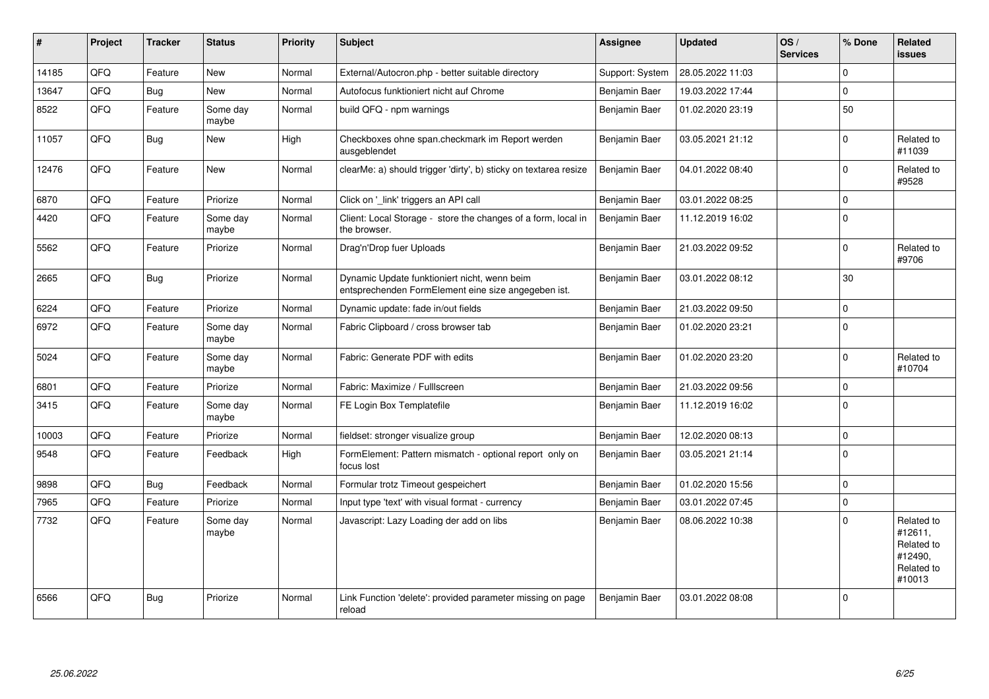| #     | Project | <b>Tracker</b> | <b>Status</b>     | <b>Priority</b> | <b>Subject</b>                                                                                      | Assignee        | <b>Updated</b>   | OS/<br><b>Services</b> | % Done      | Related<br><b>issues</b>                                               |
|-------|---------|----------------|-------------------|-----------------|-----------------------------------------------------------------------------------------------------|-----------------|------------------|------------------------|-------------|------------------------------------------------------------------------|
| 14185 | QFQ     | Feature        | <b>New</b>        | Normal          | External/Autocron.php - better suitable directory                                                   | Support: System | 28.05.2022 11:03 |                        | $\Omega$    |                                                                        |
| 13647 | QFQ     | <b>Bug</b>     | <b>New</b>        | Normal          | Autofocus funktioniert nicht auf Chrome                                                             | Benjamin Baer   | 19.03.2022 17:44 |                        | $\Omega$    |                                                                        |
| 8522  | QFQ     | Feature        | Some day<br>maybe | Normal          | build QFQ - npm warnings                                                                            | Benjamin Baer   | 01.02.2020 23:19 |                        | 50          |                                                                        |
| 11057 | QFQ     | <b>Bug</b>     | <b>New</b>        | High            | Checkboxes ohne span.checkmark im Report werden<br>ausgeblendet                                     | Benjamin Baer   | 03.05.2021 21:12 |                        | $\mathbf 0$ | Related to<br>#11039                                                   |
| 12476 | QFQ     | Feature        | <b>New</b>        | Normal          | clearMe: a) should trigger 'dirty', b) sticky on textarea resize                                    | Benjamin Baer   | 04.01.2022 08:40 |                        | $\Omega$    | Related to<br>#9528                                                    |
| 6870  | QFQ     | Feature        | Priorize          | Normal          | Click on ' link' triggers an API call                                                               | Benjamin Baer   | 03.01.2022 08:25 |                        | $\mathbf 0$ |                                                                        |
| 4420  | QFQ     | Feature        | Some day<br>maybe | Normal          | Client: Local Storage - store the changes of a form, local in<br>the browser.                       | Benjamin Baer   | 11.12.2019 16:02 |                        | $\Omega$    |                                                                        |
| 5562  | QFQ     | Feature        | Priorize          | Normal          | Drag'n'Drop fuer Uploads                                                                            | Benjamin Baer   | 21.03.2022 09:52 |                        | $\Omega$    | Related to<br>#9706                                                    |
| 2665  | QFQ     | Bug            | Priorize          | Normal          | Dynamic Update funktioniert nicht, wenn beim<br>entsprechenden FormElement eine size angegeben ist. | Benjamin Baer   | 03.01.2022 08:12 |                        | 30          |                                                                        |
| 6224  | QFQ     | Feature        | Priorize          | Normal          | Dynamic update: fade in/out fields                                                                  | Benjamin Baer   | 21.03.2022 09:50 |                        | $\Omega$    |                                                                        |
| 6972  | QFQ     | Feature        | Some day<br>maybe | Normal          | Fabric Clipboard / cross browser tab                                                                | Benjamin Baer   | 01.02.2020 23:21 |                        | $\mathbf 0$ |                                                                        |
| 5024  | QFQ     | Feature        | Some day<br>maybe | Normal          | Fabric: Generate PDF with edits                                                                     | Benjamin Baer   | 01.02.2020 23:20 |                        | $\mathbf 0$ | Related to<br>#10704                                                   |
| 6801  | QFQ     | Feature        | Priorize          | Normal          | Fabric: Maximize / FullIscreen                                                                      | Benjamin Baer   | 21.03.2022 09:56 |                        | $\mathbf 0$ |                                                                        |
| 3415  | QFQ     | Feature        | Some day<br>maybe | Normal          | FE Login Box Templatefile                                                                           | Benjamin Baer   | 11.12.2019 16:02 |                        | $\Omega$    |                                                                        |
| 10003 | QFQ     | Feature        | Priorize          | Normal          | fieldset: stronger visualize group                                                                  | Benjamin Baer   | 12.02.2020 08:13 |                        | $\mathbf 0$ |                                                                        |
| 9548  | QFQ     | Feature        | Feedback          | High            | FormElement: Pattern mismatch - optional report only on<br>focus lost                               | Benjamin Baer   | 03.05.2021 21:14 |                        | $\Omega$    |                                                                        |
| 9898  | QFQ     | Bug            | Feedback          | Normal          | Formular trotz Timeout gespeichert                                                                  | Benjamin Baer   | 01.02.2020 15:56 |                        | $\Omega$    |                                                                        |
| 7965  | QFQ     | Feature        | Priorize          | Normal          | Input type 'text' with visual format - currency                                                     | Benjamin Baer   | 03.01.2022 07:45 |                        | $\mathbf 0$ |                                                                        |
| 7732  | QFQ     | Feature        | Some day<br>maybe | Normal          | Javascript: Lazy Loading der add on libs                                                            | Benjamin Baer   | 08.06.2022 10:38 |                        | $\Omega$    | Related to<br>#12611,<br>Related to<br>#12490.<br>Related to<br>#10013 |
| 6566  | QFQ     | Bug            | Priorize          | Normal          | Link Function 'delete': provided parameter missing on page<br>reload                                | Benjamin Baer   | 03.01.2022 08:08 |                        | $\Omega$    |                                                                        |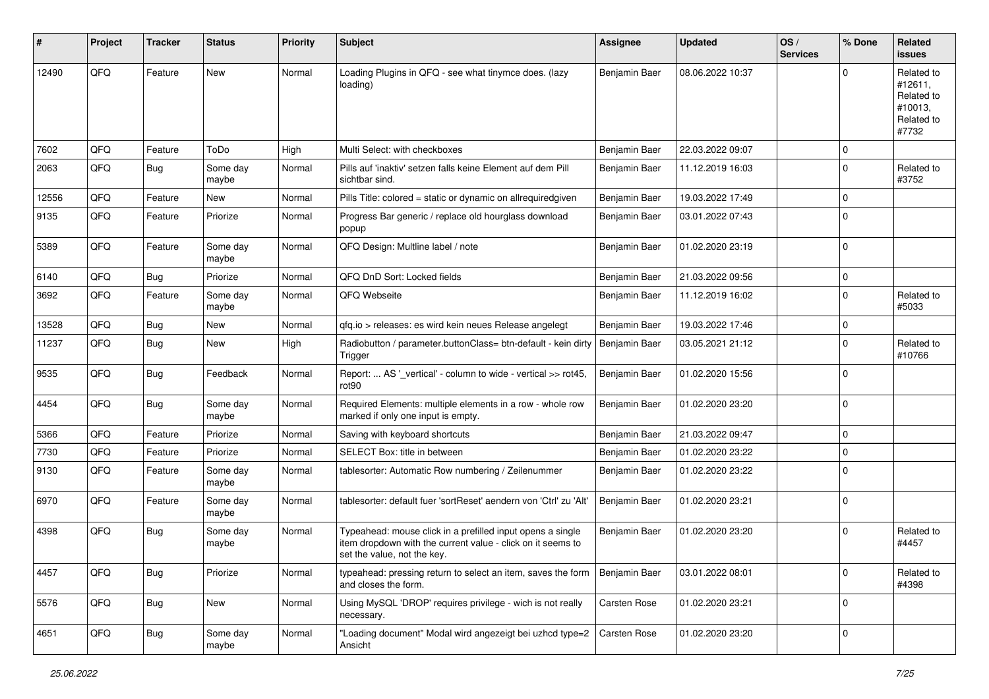| ∦     | Project | <b>Tracker</b> | <b>Status</b>     | <b>Priority</b> | <b>Subject</b>                                                                                                                                           | <b>Assignee</b> | <b>Updated</b>   | OS/<br><b>Services</b> | % Done      | Related<br>issues                                                     |
|-------|---------|----------------|-------------------|-----------------|----------------------------------------------------------------------------------------------------------------------------------------------------------|-----------------|------------------|------------------------|-------------|-----------------------------------------------------------------------|
| 12490 | QFQ     | Feature        | <b>New</b>        | Normal          | Loading Plugins in QFQ - see what tinymce does. (lazy<br>loading)                                                                                        | Benjamin Baer   | 08.06.2022 10:37 |                        | $\Omega$    | Related to<br>#12611,<br>Related to<br>#10013,<br>Related to<br>#7732 |
| 7602  | QFQ     | Feature        | ToDo              | High            | Multi Select: with checkboxes                                                                                                                            | Benjamin Baer   | 22.03.2022 09:07 |                        | $\mathbf 0$ |                                                                       |
| 2063  | QFQ     | Bug            | Some day<br>maybe | Normal          | Pills auf 'inaktiv' setzen falls keine Element auf dem Pill<br>sichtbar sind.                                                                            | Benjamin Baer   | 11.12.2019 16:03 |                        | $\Omega$    | Related to<br>#3752                                                   |
| 12556 | QFQ     | Feature        | <b>New</b>        | Normal          | Pills Title: colored = static or dynamic on allrequiredgiven                                                                                             | Benjamin Baer   | 19.03.2022 17:49 |                        | $\mathbf 0$ |                                                                       |
| 9135  | QFQ     | Feature        | Priorize          | Normal          | Progress Bar generic / replace old hourglass download<br>popup                                                                                           | Benjamin Baer   | 03.01.2022 07:43 |                        | $\Omega$    |                                                                       |
| 5389  | QFQ     | Feature        | Some day<br>maybe | Normal          | QFQ Design: Multline label / note                                                                                                                        | Benjamin Baer   | 01.02.2020 23:19 |                        | $\mathbf 0$ |                                                                       |
| 6140  | QFQ     | Bug            | Priorize          | Normal          | QFQ DnD Sort: Locked fields                                                                                                                              | Benjamin Baer   | 21.03.2022 09:56 |                        | $\mathbf 0$ |                                                                       |
| 3692  | QFQ     | Feature        | Some day<br>maybe | Normal          | QFQ Webseite                                                                                                                                             | Benjamin Baer   | 11.12.2019 16:02 |                        | $\Omega$    | Related to<br>#5033                                                   |
| 13528 | QFQ     | Bug            | <b>New</b>        | Normal          | qfq.io > releases: es wird kein neues Release angelegt                                                                                                   | Benjamin Baer   | 19.03.2022 17:46 |                        | $\mathbf 0$ |                                                                       |
| 11237 | QFQ     | Bug            | New               | High            | Radiobutton / parameter.buttonClass= btn-default - kein dirty<br>Trigger                                                                                 | Benjamin Baer   | 03.05.2021 21:12 |                        | $\Omega$    | Related to<br>#10766                                                  |
| 9535  | QFQ     | Bug            | Feedback          | Normal          | Report:  AS '_vertical' - column to wide - vertical >> rot45,<br>rot <sub>90</sub>                                                                       | Benjamin Baer   | 01.02.2020 15:56 |                        | $\Omega$    |                                                                       |
| 4454  | QFQ     | Bug            | Some day<br>maybe | Normal          | Required Elements: multiple elements in a row - whole row<br>marked if only one input is empty.                                                          | Benjamin Baer   | 01.02.2020 23:20 |                        | $\Omega$    |                                                                       |
| 5366  | QFQ     | Feature        | Priorize          | Normal          | Saving with keyboard shortcuts                                                                                                                           | Benjamin Baer   | 21.03.2022 09:47 |                        | $\Omega$    |                                                                       |
| 7730  | QFQ     | Feature        | Priorize          | Normal          | SELECT Box: title in between                                                                                                                             | Benjamin Baer   | 01.02.2020 23:22 |                        | $\mathbf 0$ |                                                                       |
| 9130  | QFQ     | Feature        | Some day<br>maybe | Normal          | tablesorter: Automatic Row numbering / Zeilenummer                                                                                                       | Benjamin Baer   | 01.02.2020 23:22 |                        | $\Omega$    |                                                                       |
| 6970  | QFQ     | Feature        | Some day<br>maybe | Normal          | tablesorter: default fuer 'sortReset' aendern von 'Ctrl' zu 'Alt'                                                                                        | Benjamin Baer   | 01.02.2020 23:21 |                        | $\Omega$    |                                                                       |
| 4398  | QFQ     | Bug            | Some day<br>maybe | Normal          | Typeahead: mouse click in a prefilled input opens a single<br>item dropdown with the current value - click on it seems to<br>set the value, not the key. | Benjamin Baer   | 01.02.2020 23:20 |                        | $\Omega$    | Related to<br>#4457                                                   |
| 4457  | QFQ     | <b>Bug</b>     | Priorize          | Normal          | typeahead: pressing return to select an item, saves the form<br>and closes the form.                                                                     | Benjamin Baer   | 03.01.2022 08:01 |                        | $\mathbf 0$ | Related to<br>#4398                                                   |
| 5576  | QFQ     | <b>Bug</b>     | <b>New</b>        | Normal          | Using MySQL 'DROP' requires privilege - wich is not really<br>necessary.                                                                                 | Carsten Rose    | 01.02.2020 23:21 |                        | $\mathbf 0$ |                                                                       |
| 4651  | QFQ     | Bug            | Some day<br>maybe | Normal          | 'Loading document" Modal wird angezeigt bei uzhcd type=2<br>Ansicht                                                                                      | Carsten Rose    | 01.02.2020 23:20 |                        | 0           |                                                                       |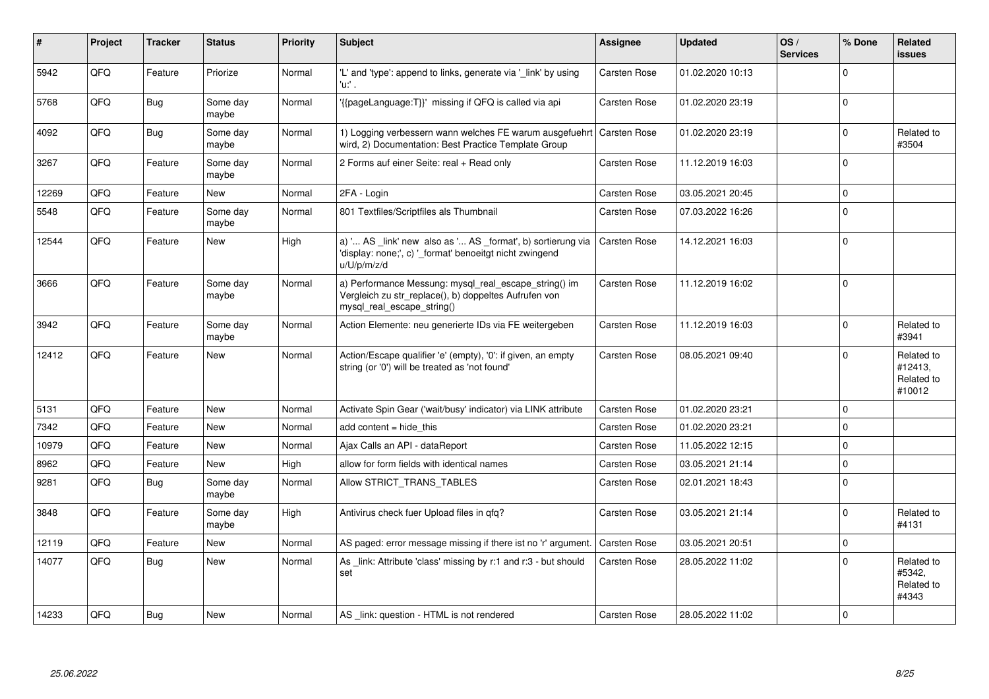| #     | <b>Project</b> | <b>Tracker</b> | <b>Status</b>     | Priority | <b>Subject</b>                                                                                                                               | Assignee            | <b>Updated</b>   | OS/<br><b>Services</b> | % Done      | Related<br><b>issues</b>                      |
|-------|----------------|----------------|-------------------|----------|----------------------------------------------------------------------------------------------------------------------------------------------|---------------------|------------------|------------------------|-------------|-----------------------------------------------|
| 5942  | QFQ            | Feature        | Priorize          | Normal   | 'L' and 'type': append to links, generate via '_link' by using<br>'u:' .                                                                     | Carsten Rose        | 01.02.2020 10:13 |                        | $\Omega$    |                                               |
| 5768  | QFQ            | <b>Bug</b>     | Some day<br>maybe | Normal   | '{{pageLanguage:T}}' missing if QFQ is called via api                                                                                        | Carsten Rose        | 01.02.2020 23:19 |                        | $\Omega$    |                                               |
| 4092  | QFQ            | <b>Bug</b>     | Some day<br>maybe | Normal   | 1) Logging verbessern wann welches FE warum ausgefuehrt<br>wird, 2) Documentation: Best Practice Template Group                              | <b>Carsten Rose</b> | 01.02.2020 23:19 |                        | $\Omega$    | Related to<br>#3504                           |
| 3267  | QFQ            | Feature        | Some day<br>maybe | Normal   | 2 Forms auf einer Seite: real + Read only                                                                                                    | <b>Carsten Rose</b> | 11.12.2019 16:03 |                        | $\Omega$    |                                               |
| 12269 | QFQ            | Feature        | <b>New</b>        | Normal   | 2FA - Login                                                                                                                                  | Carsten Rose        | 03.05.2021 20:45 |                        | $\Omega$    |                                               |
| 5548  | QFQ            | Feature        | Some day<br>maybe | Normal   | 801 Textfiles/Scriptfiles als Thumbnail                                                                                                      | Carsten Rose        | 07.03.2022 16:26 |                        | $\Omega$    |                                               |
| 12544 | QFQ            | Feature        | <b>New</b>        | High     | a) ' AS _link' new also as ' AS _format', b) sortierung via<br>'display: none;', c) '_format' benoeitgt nicht zwingend<br>u/U/p/m/z/d        | <b>Carsten Rose</b> | 14.12.2021 16:03 |                        | $\Omega$    |                                               |
| 3666  | QFQ            | Feature        | Some day<br>maybe | Normal   | a) Performance Messung: mysql_real_escape_string() im<br>Vergleich zu str_replace(), b) doppeltes Aufrufen von<br>mysql real escape string() | <b>Carsten Rose</b> | 11.12.2019 16:02 |                        | $\mathbf 0$ |                                               |
| 3942  | QFQ            | Feature        | Some day<br>maybe | Normal   | Action Elemente: neu generierte IDs via FE weitergeben                                                                                       | Carsten Rose        | 11.12.2019 16:03 |                        | $\Omega$    | Related to<br>#3941                           |
| 12412 | QFQ            | Feature        | <b>New</b>        | Normal   | Action/Escape qualifier 'e' (empty), '0': if given, an empty<br>string (or '0') will be treated as 'not found'                               | Carsten Rose        | 08.05.2021 09:40 |                        | $\Omega$    | Related to<br>#12413,<br>Related to<br>#10012 |
| 5131  | QFQ            | Feature        | <b>New</b>        | Normal   | Activate Spin Gear ('wait/busy' indicator) via LINK attribute                                                                                | <b>Carsten Rose</b> | 01.02.2020 23:21 |                        | $\Omega$    |                                               |
| 7342  | QFQ            | Feature        | <b>New</b>        | Normal   | add content = hide this                                                                                                                      | <b>Carsten Rose</b> | 01.02.2020 23:21 |                        | $\Omega$    |                                               |
| 10979 | QFQ            | Feature        | <b>New</b>        | Normal   | Ajax Calls an API - dataReport                                                                                                               | Carsten Rose        | 11.05.2022 12:15 |                        | $\Omega$    |                                               |
| 8962  | QFQ            | Feature        | <b>New</b>        | High     | allow for form fields with identical names                                                                                                   | <b>Carsten Rose</b> | 03.05.2021 21:14 |                        | $\Omega$    |                                               |
| 9281  | QFQ            | <b>Bug</b>     | Some day<br>maybe | Normal   | Allow STRICT TRANS TABLES                                                                                                                    | <b>Carsten Rose</b> | 02.01.2021 18:43 |                        | $\Omega$    |                                               |
| 3848  | QFQ            | Feature        | Some day<br>maybe | High     | Antivirus check fuer Upload files in qfq?                                                                                                    | <b>Carsten Rose</b> | 03.05.2021 21:14 |                        | $\Omega$    | Related to<br>#4131                           |
| 12119 | QFQ            | Feature        | <b>New</b>        | Normal   | AS paged: error message missing if there ist no 'r' argument.                                                                                | <b>Carsten Rose</b> | 03.05.2021 20:51 |                        | $\Omega$    |                                               |
| 14077 | QFQ            | Bug            | <b>New</b>        | Normal   | As link: Attribute 'class' missing by r:1 and r:3 - but should<br>set                                                                        | <b>Carsten Rose</b> | 28.05.2022 11:02 |                        | $\Omega$    | Related to<br>#5342,<br>Related to<br>#4343   |
| 14233 | QFQ            | Bug            | <b>New</b>        | Normal   | AS link: question - HTML is not rendered                                                                                                     | Carsten Rose        | 28.05.2022 11:02 |                        | $\Omega$    |                                               |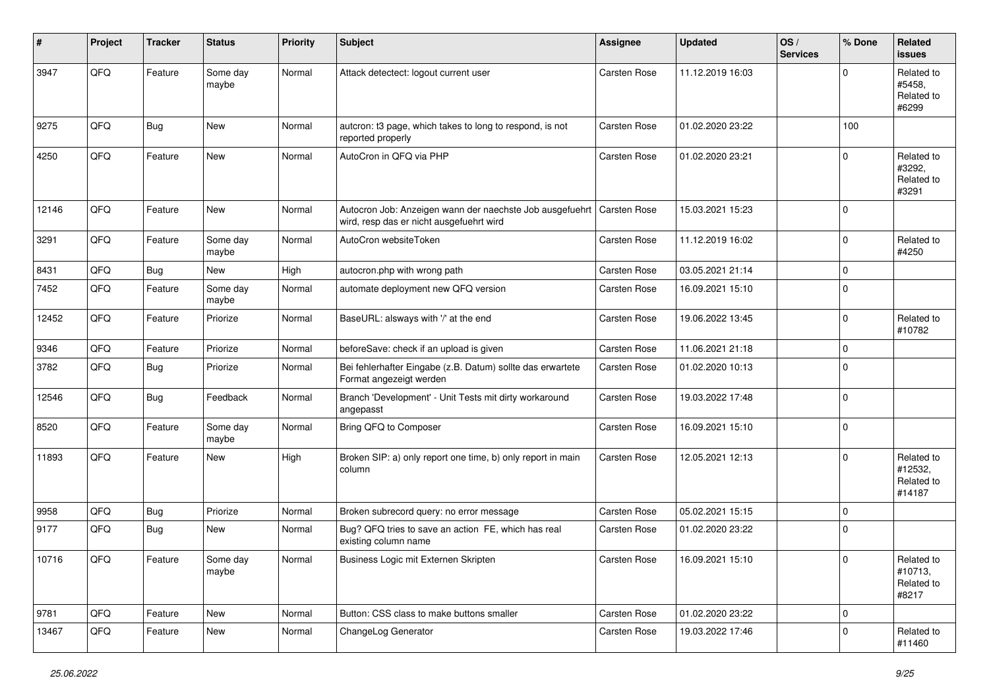| ∦     | Project | <b>Tracker</b> | <b>Status</b>     | <b>Priority</b> | <b>Subject</b>                                                                                                      | <b>Assignee</b> | <b>Updated</b>   | OS/<br><b>Services</b> | % Done              | Related<br><b>issues</b>                      |
|-------|---------|----------------|-------------------|-----------------|---------------------------------------------------------------------------------------------------------------------|-----------------|------------------|------------------------|---------------------|-----------------------------------------------|
| 3947  | QFQ     | Feature        | Some day<br>maybe | Normal          | Attack detectect: logout current user                                                                               | Carsten Rose    | 11.12.2019 16:03 |                        | $\Omega$            | Related to<br>#5458.<br>Related to<br>#6299   |
| 9275  | QFQ     | <b>Bug</b>     | New               | Normal          | autcron: t3 page, which takes to long to respond, is not<br>reported properly                                       | Carsten Rose    | 01.02.2020 23:22 |                        | 100                 |                                               |
| 4250  | QFQ     | Feature        | New               | Normal          | AutoCron in QFQ via PHP                                                                                             | Carsten Rose    | 01.02.2020 23:21 |                        | $\mathbf 0$         | Related to<br>#3292,<br>Related to<br>#3291   |
| 12146 | QFQ     | Feature        | New               | Normal          | Autocron Job: Anzeigen wann der naechste Job ausgefuehrt   Carsten Rose<br>wird, resp das er nicht ausgefuehrt wird |                 | 15.03.2021 15:23 |                        | $\Omega$            |                                               |
| 3291  | QFQ     | Feature        | Some day<br>maybe | Normal          | AutoCron websiteToken                                                                                               | Carsten Rose    | 11.12.2019 16:02 |                        | $\mathbf 0$         | Related to<br>#4250                           |
| 8431  | QFQ     | Bug            | New               | High            | autocron.php with wrong path                                                                                        | Carsten Rose    | 03.05.2021 21:14 |                        | $\mathbf 0$         |                                               |
| 7452  | QFQ     | Feature        | Some day<br>maybe | Normal          | automate deployment new QFQ version                                                                                 | Carsten Rose    | 16.09.2021 15:10 |                        | $\mathbf 0$         |                                               |
| 12452 | QFQ     | Feature        | Priorize          | Normal          | BaseURL: alsways with '/' at the end                                                                                | Carsten Rose    | 19.06.2022 13:45 |                        | $\mathbf 0$         | Related to<br>#10782                          |
| 9346  | QFQ     | Feature        | Priorize          | Normal          | beforeSave: check if an upload is given                                                                             | Carsten Rose    | 11.06.2021 21:18 |                        | $\mathbf 0$         |                                               |
| 3782  | QFQ     | Bug            | Priorize          | Normal          | Bei fehlerhafter Eingabe (z.B. Datum) sollte das erwartete<br>Format angezeigt werden                               | Carsten Rose    | 01.02.2020 10:13 |                        | $\mathbf 0$         |                                               |
| 12546 | QFQ     | Bug            | Feedback          | Normal          | Branch 'Development' - Unit Tests mit dirty workaround<br>angepasst                                                 | Carsten Rose    | 19.03.2022 17:48 |                        | $\mathbf 0$         |                                               |
| 8520  | QFQ     | Feature        | Some day<br>maybe | Normal          | Bring QFQ to Composer                                                                                               | Carsten Rose    | 16.09.2021 15:10 |                        | $\mathbf 0$         |                                               |
| 11893 | QFQ     | Feature        | New               | High            | Broken SIP: a) only report one time, b) only report in main<br>column                                               | Carsten Rose    | 12.05.2021 12:13 |                        | $\Omega$            | Related to<br>#12532,<br>Related to<br>#14187 |
| 9958  | QFQ     | Bug            | Priorize          | Normal          | Broken subrecord query: no error message                                                                            | Carsten Rose    | 05.02.2021 15:15 |                        | $\mathbf 0$         |                                               |
| 9177  | QFQ     | Bug            | New               | Normal          | Bug? QFQ tries to save an action FE, which has real<br>existing column name                                         | Carsten Rose    | 01.02.2020 23:22 |                        | $\mathbf 0$         |                                               |
| 10716 | QFQ     | Feature        | Some day<br>maybe | Normal          | Business Logic mit Externen Skripten                                                                                | Carsten Rose    | 16.09.2021 15:10 |                        | $\pmb{0}$           | Related to<br>#10713,<br>Related to<br>#8217  |
| 9781  | QFQ     | Feature        | New               | Normal          | Button: CSS class to make buttons smaller                                                                           | Carsten Rose    | 01.02.2020 23:22 |                        | $\mathsf{O}\xspace$ |                                               |
| 13467 | QFQ     | Feature        | New               | Normal          | ChangeLog Generator                                                                                                 | Carsten Rose    | 19.03.2022 17:46 |                        | $\mathbf 0$         | Related to<br>#11460                          |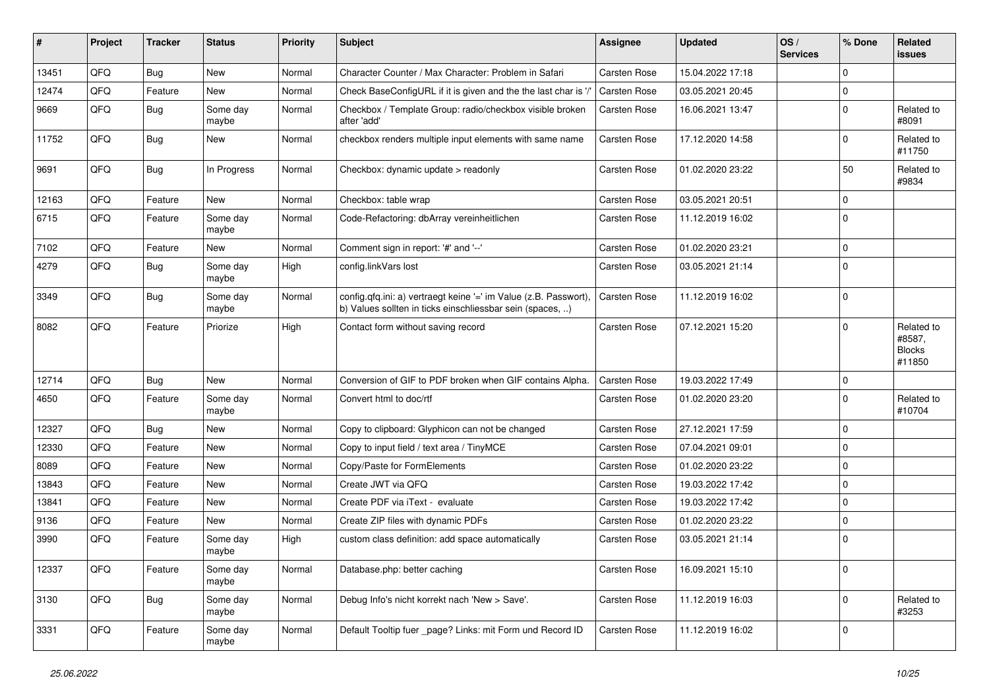| ∦     | Project | <b>Tracker</b> | <b>Status</b>     | <b>Priority</b> | <b>Subject</b>                                                                                                                | <b>Assignee</b>     | <b>Updated</b>   | OS/<br><b>Services</b> | % Done      | Related<br>issues                               |
|-------|---------|----------------|-------------------|-----------------|-------------------------------------------------------------------------------------------------------------------------------|---------------------|------------------|------------------------|-------------|-------------------------------------------------|
| 13451 | QFQ     | Bug            | <b>New</b>        | Normal          | Character Counter / Max Character: Problem in Safari                                                                          | <b>Carsten Rose</b> | 15.04.2022 17:18 |                        | $\Omega$    |                                                 |
| 12474 | QFQ     | Feature        | <b>New</b>        | Normal          | Check BaseConfigURL if it is given and the the last char is '/'                                                               | Carsten Rose        | 03.05.2021 20:45 |                        | $\Omega$    |                                                 |
| 9669  | QFQ     | <b>Bug</b>     | Some day<br>maybe | Normal          | Checkbox / Template Group: radio/checkbox visible broken<br>after 'add'                                                       | Carsten Rose        | 16.06.2021 13:47 |                        | $\mathbf 0$ | Related to<br>#8091                             |
| 11752 | QFQ     | Bug            | <b>New</b>        | Normal          | checkbox renders multiple input elements with same name                                                                       | <b>Carsten Rose</b> | 17.12.2020 14:58 |                        | $\Omega$    | Related to<br>#11750                            |
| 9691  | QFQ     | Bug            | In Progress       | Normal          | Checkbox: dynamic update > readonly                                                                                           | <b>Carsten Rose</b> | 01.02.2020 23:22 |                        | 50          | Related to<br>#9834                             |
| 12163 | QFQ     | Feature        | New               | Normal          | Checkbox: table wrap                                                                                                          | <b>Carsten Rose</b> | 03.05.2021 20:51 |                        | $\mathbf 0$ |                                                 |
| 6715  | QFQ     | Feature        | Some day<br>maybe | Normal          | Code-Refactoring: dbArray vereinheitlichen                                                                                    | Carsten Rose        | 11.12.2019 16:02 |                        | $\Omega$    |                                                 |
| 7102  | QFQ     | Feature        | New               | Normal          | Comment sign in report: '#' and '--'                                                                                          | <b>Carsten Rose</b> | 01.02.2020 23:21 |                        | $\mathbf 0$ |                                                 |
| 4279  | QFQ     | Bug            | Some day<br>maybe | High            | config.linkVars lost                                                                                                          | <b>Carsten Rose</b> | 03.05.2021 21:14 |                        | $\Omega$    |                                                 |
| 3349  | QFQ     | Bug            | Some day<br>maybe | Normal          | config.qfq.ini: a) vertraegt keine '=' im Value (z.B. Passwort),<br>b) Values sollten in ticks einschliessbar sein (spaces, ) | <b>Carsten Rose</b> | 11.12.2019 16:02 |                        | $\mathbf 0$ |                                                 |
| 8082  | QFQ     | Feature        | Priorize          | High            | Contact form without saving record                                                                                            | <b>Carsten Rose</b> | 07.12.2021 15:20 |                        | $\Omega$    | Related to<br>#8587,<br><b>Blocks</b><br>#11850 |
| 12714 | QFQ     | Bug            | <b>New</b>        | Normal          | Conversion of GIF to PDF broken when GIF contains Alpha.                                                                      | <b>Carsten Rose</b> | 19.03.2022 17:49 |                        | 0           |                                                 |
| 4650  | QFQ     | Feature        | Some day<br>maybe | Normal          | Convert html to doc/rtf                                                                                                       | <b>Carsten Rose</b> | 01.02.2020 23:20 |                        | $\Omega$    | Related to<br>#10704                            |
| 12327 | QFQ     | Bug            | <b>New</b>        | Normal          | Copy to clipboard: Glyphicon can not be changed                                                                               | <b>Carsten Rose</b> | 27.12.2021 17:59 |                        | $\mathbf 0$ |                                                 |
| 12330 | QFQ     | Feature        | New               | Normal          | Copy to input field / text area / TinyMCE                                                                                     | Carsten Rose        | 07.04.2021 09:01 |                        | $\mathbf 0$ |                                                 |
| 8089  | QFQ     | Feature        | <b>New</b>        | Normal          | Copy/Paste for FormElements                                                                                                   | <b>Carsten Rose</b> | 01.02.2020 23:22 |                        | $\mathbf 0$ |                                                 |
| 13843 | QFQ     | Feature        | New               | Normal          | Create JWT via QFQ                                                                                                            | <b>Carsten Rose</b> | 19.03.2022 17:42 |                        | $\Omega$    |                                                 |
| 13841 | QFQ     | Feature        | New               | Normal          | Create PDF via iText - evaluate                                                                                               | <b>Carsten Rose</b> | 19.03.2022 17:42 |                        | $\Omega$    |                                                 |
| 9136  | QFQ     | Feature        | New               | Normal          | Create ZIP files with dynamic PDFs                                                                                            | Carsten Rose        | 01.02.2020 23:22 |                        | $\mathbf 0$ |                                                 |
| 3990  | QFQ     | Feature        | Some day<br>maybe | High            | custom class definition: add space automatically                                                                              | <b>Carsten Rose</b> | 03.05.2021 21:14 |                        | $\mathbf 0$ |                                                 |
| 12337 | QFQ     | Feature        | Some day<br>maybe | Normal          | Database.php: better caching                                                                                                  | Carsten Rose        | 16.09.2021 15:10 |                        | 0           |                                                 |
| 3130  | QFQ     | Bug            | Some day<br>maybe | Normal          | Debug Info's nicht korrekt nach 'New > Save'.                                                                                 | Carsten Rose        | 11.12.2019 16:03 |                        | $\mathbf 0$ | Related to<br>#3253                             |
| 3331  | QFQ     | Feature        | Some day<br>maybe | Normal          | Default Tooltip fuer _page? Links: mit Form und Record ID                                                                     | Carsten Rose        | 11.12.2019 16:02 |                        | 0           |                                                 |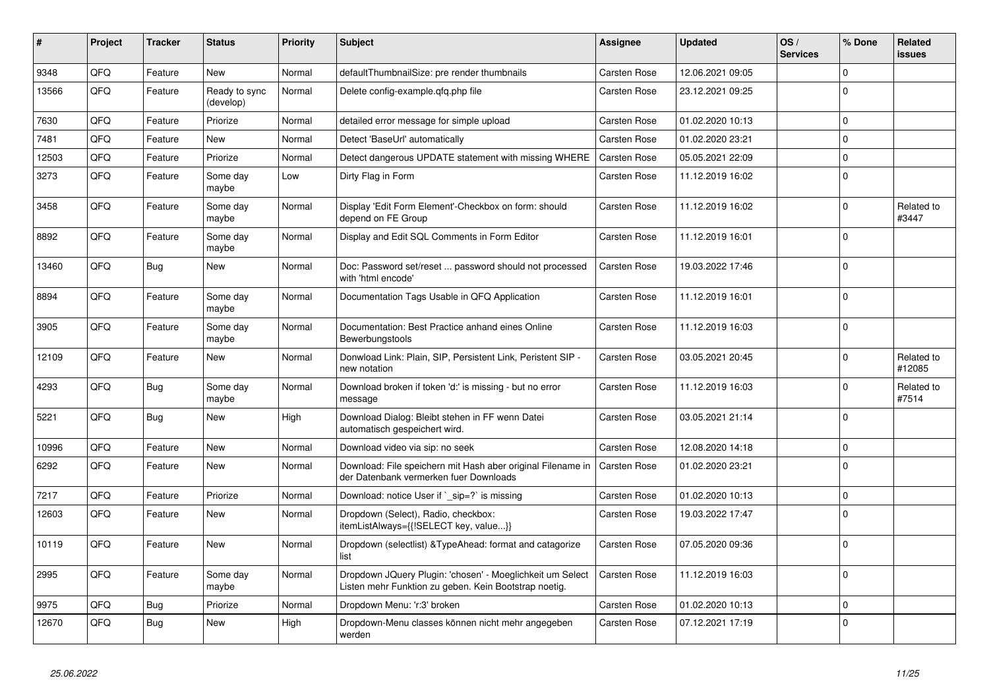| $\vert$ # | Project | <b>Tracker</b> | <b>Status</b>              | <b>Priority</b> | <b>Subject</b>                                                                                                     | Assignee            | <b>Updated</b>   | OS/<br><b>Services</b> | % Done      | Related<br>issues    |
|-----------|---------|----------------|----------------------------|-----------------|--------------------------------------------------------------------------------------------------------------------|---------------------|------------------|------------------------|-------------|----------------------|
| 9348      | QFQ     | Feature        | <b>New</b>                 | Normal          | defaultThumbnailSize: pre render thumbnails                                                                        | Carsten Rose        | 12.06.2021 09:05 |                        | $\Omega$    |                      |
| 13566     | QFQ     | Feature        | Ready to sync<br>(develop) | Normal          | Delete config-example.gfg.php file                                                                                 | Carsten Rose        | 23.12.2021 09:25 |                        | $\Omega$    |                      |
| 7630      | QFQ     | Feature        | Priorize                   | Normal          | detailed error message for simple upload                                                                           | Carsten Rose        | 01.02.2020 10:13 |                        | $\Omega$    |                      |
| 7481      | QFQ     | Feature        | <b>New</b>                 | Normal          | Detect 'BaseUrl' automatically                                                                                     | <b>Carsten Rose</b> | 01.02.2020 23:21 |                        | $\Omega$    |                      |
| 12503     | QFQ     | Feature        | Priorize                   | Normal          | Detect dangerous UPDATE statement with missing WHERE                                                               | <b>Carsten Rose</b> | 05.05.2021 22:09 |                        | $\mathbf 0$ |                      |
| 3273      | QFQ     | Feature        | Some day<br>maybe          | Low             | Dirty Flag in Form                                                                                                 | Carsten Rose        | 11.12.2019 16:02 |                        | 0           |                      |
| 3458      | QFQ     | Feature        | Some day<br>maybe          | Normal          | Display 'Edit Form Element'-Checkbox on form: should<br>depend on FE Group                                         | Carsten Rose        | 11.12.2019 16:02 |                        | $\Omega$    | Related to<br>#3447  |
| 8892      | QFQ     | Feature        | Some day<br>maybe          | Normal          | Display and Edit SQL Comments in Form Editor                                                                       | <b>Carsten Rose</b> | 11.12.2019 16:01 |                        | $\Omega$    |                      |
| 13460     | QFQ     | <b>Bug</b>     | <b>New</b>                 | Normal          | Doc: Password set/reset  password should not processed<br>with 'html encode'                                       | <b>Carsten Rose</b> | 19.03.2022 17:46 |                        | $\Omega$    |                      |
| 8894      | QFQ     | Feature        | Some day<br>maybe          | Normal          | Documentation Tags Usable in QFQ Application                                                                       | Carsten Rose        | 11.12.2019 16:01 |                        | $\Omega$    |                      |
| 3905      | QFQ     | Feature        | Some day<br>maybe          | Normal          | Documentation: Best Practice anhand eines Online<br>Bewerbungstools                                                | Carsten Rose        | 11.12.2019 16:03 |                        | $\Omega$    |                      |
| 12109     | QFQ     | Feature        | <b>New</b>                 | Normal          | Donwload Link: Plain, SIP, Persistent Link, Peristent SIP -<br>new notation                                        | Carsten Rose        | 03.05.2021 20:45 |                        | $\Omega$    | Related to<br>#12085 |
| 4293      | QFQ     | <b>Bug</b>     | Some day<br>maybe          | Normal          | Download broken if token 'd:' is missing - but no error<br>message                                                 | Carsten Rose        | 11.12.2019 16:03 |                        | $\Omega$    | Related to<br>#7514  |
| 5221      | QFQ     | Bug            | New                        | High            | Download Dialog: Bleibt stehen in FF wenn Datei<br>automatisch gespeichert wird.                                   | <b>Carsten Rose</b> | 03.05.2021 21:14 |                        | $\Omega$    |                      |
| 10996     | QFQ     | Feature        | <b>New</b>                 | Normal          | Download video via sip: no seek                                                                                    | Carsten Rose        | 12.08.2020 14:18 |                        | $\Omega$    |                      |
| 6292      | QFQ     | Feature        | New                        | Normal          | Download: File speichern mit Hash aber original Filename in<br>der Datenbank vermerken fuer Downloads              | Carsten Rose        | 01.02.2020 23:21 |                        | $\Omega$    |                      |
| 7217      | QFQ     | Feature        | Priorize                   | Normal          | Download: notice User if `_sip=?` is missing                                                                       | Carsten Rose        | 01.02.2020 10:13 |                        | $\Omega$    |                      |
| 12603     | QFQ     | Feature        | <b>New</b>                 | Normal          | Dropdown (Select), Radio, checkbox:<br>itemListAlways={{!SELECT key, value}}                                       | Carsten Rose        | 19.03.2022 17:47 |                        | $\Omega$    |                      |
| 10119     | QFQ     | Feature        | New                        | Normal          | Dropdown (selectlist) & Type Ahead: format and catagorize<br>list                                                  | <b>Carsten Rose</b> | 07.05.2020 09:36 |                        | $\Omega$    |                      |
| 2995      | QFQ     | Feature        | Some day<br>maybe          | Normal          | Dropdown JQuery Plugin: 'chosen' - Moeglichkeit um Select<br>Listen mehr Funktion zu geben. Kein Bootstrap noetig. | Carsten Rose        | 11.12.2019 16:03 |                        | $\Omega$    |                      |
| 9975      | QFQ     | <b>Bug</b>     | Priorize                   | Normal          | Dropdown Menu: 'r:3' broken                                                                                        | Carsten Rose        | 01.02.2020 10:13 |                        | $\Omega$    |                      |
| 12670     | QFQ     | <b>Bug</b>     | <b>New</b>                 | High            | Dropdown-Menu classes können nicht mehr angegeben<br>werden                                                        | Carsten Rose        | 07.12.2021 17:19 |                        | $\Omega$    |                      |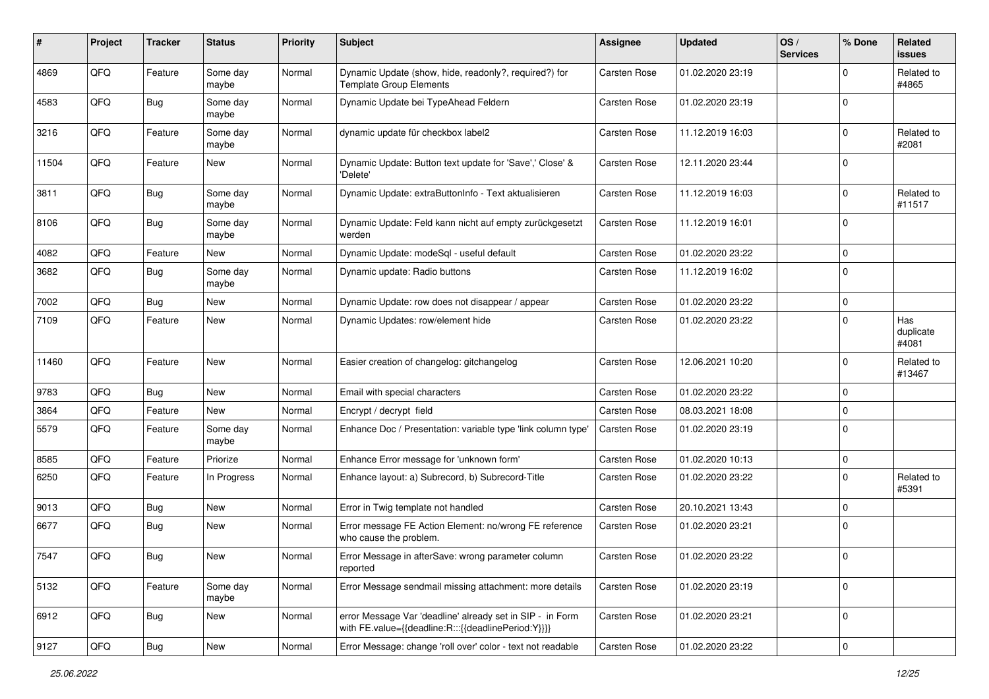| #     | Project | <b>Tracker</b> | <b>Status</b>     | <b>Priority</b> | <b>Subject</b>                                                                                                   | Assignee            | <b>Updated</b>   | OS/<br><b>Services</b> | % Done      | Related<br><b>issues</b>  |
|-------|---------|----------------|-------------------|-----------------|------------------------------------------------------------------------------------------------------------------|---------------------|------------------|------------------------|-------------|---------------------------|
| 4869  | QFQ     | Feature        | Some day<br>maybe | Normal          | Dynamic Update (show, hide, readonly?, required?) for<br><b>Template Group Elements</b>                          | <b>Carsten Rose</b> | 01.02.2020 23:19 |                        | 0           | Related to<br>#4865       |
| 4583  | QFQ     | Bug            | Some day<br>maybe | Normal          | Dynamic Update bei TypeAhead Feldern                                                                             | Carsten Rose        | 01.02.2020 23:19 |                        | $\Omega$    |                           |
| 3216  | QFQ     | Feature        | Some day<br>maybe | Normal          | dynamic update für checkbox label2                                                                               | Carsten Rose        | 11.12.2019 16:03 |                        | 0           | Related to<br>#2081       |
| 11504 | QFQ     | Feature        | New               | Normal          | Dynamic Update: Button text update for 'Save',' Close' &<br>'Delete'                                             | Carsten Rose        | 12.11.2020 23:44 |                        | $\Omega$    |                           |
| 3811  | QFQ     | <b>Bug</b>     | Some day<br>maybe | Normal          | Dynamic Update: extraButtonInfo - Text aktualisieren                                                             | Carsten Rose        | 11.12.2019 16:03 |                        | $\Omega$    | Related to<br>#11517      |
| 8106  | QFQ     | Bug            | Some day<br>maybe | Normal          | Dynamic Update: Feld kann nicht auf empty zurückgesetzt<br>werden                                                | Carsten Rose        | 11.12.2019 16:01 |                        | $\Omega$    |                           |
| 4082  | QFQ     | Feature        | New               | Normal          | Dynamic Update: modeSql - useful default                                                                         | Carsten Rose        | 01.02.2020 23:22 |                        | $\Omega$    |                           |
| 3682  | QFQ     | Bug            | Some day<br>maybe | Normal          | Dynamic update: Radio buttons                                                                                    | Carsten Rose        | 11.12.2019 16:02 |                        | $\Omega$    |                           |
| 7002  | QFQ     | <b>Bug</b>     | New               | Normal          | Dynamic Update: row does not disappear / appear                                                                  | Carsten Rose        | 01.02.2020 23:22 |                        | 0           |                           |
| 7109  | QFQ     | Feature        | New               | Normal          | Dynamic Updates: row/element hide                                                                                | <b>Carsten Rose</b> | 01.02.2020 23:22 |                        | $\Omega$    | Has<br>duplicate<br>#4081 |
| 11460 | QFQ     | Feature        | <b>New</b>        | Normal          | Easier creation of changelog: gitchangelog                                                                       | Carsten Rose        | 12.06.2021 10:20 |                        | $\Omega$    | Related to<br>#13467      |
| 9783  | QFQ     | Bug            | <b>New</b>        | Normal          | Email with special characters                                                                                    | Carsten Rose        | 01.02.2020 23:22 |                        | $\Omega$    |                           |
| 3864  | QFQ     | Feature        | New               | Normal          | Encrypt / decrypt field                                                                                          | <b>Carsten Rose</b> | 08.03.2021 18:08 |                        | $\Omega$    |                           |
| 5579  | QFQ     | Feature        | Some day<br>maybe | Normal          | Enhance Doc / Presentation: variable type 'link column type'                                                     | <b>Carsten Rose</b> | 01.02.2020 23:19 |                        | $\Omega$    |                           |
| 8585  | QFQ     | Feature        | Priorize          | Normal          | Enhance Error message for 'unknown form'                                                                         | Carsten Rose        | 01.02.2020 10:13 |                        | $\mathbf 0$ |                           |
| 6250  | QFQ     | Feature        | In Progress       | Normal          | Enhance layout: a) Subrecord, b) Subrecord-Title                                                                 | Carsten Rose        | 01.02.2020 23:22 |                        | $\Omega$    | Related to<br>#5391       |
| 9013  | QFQ     | Bug            | <b>New</b>        | Normal          | Error in Twig template not handled                                                                               | Carsten Rose        | 20.10.2021 13:43 |                        | $\Omega$    |                           |
| 6677  | QFQ     | Bug            | <b>New</b>        | Normal          | Error message FE Action Element: no/wrong FE reference<br>who cause the problem.                                 | <b>Carsten Rose</b> | 01.02.2020 23:21 |                        | $\mathbf 0$ |                           |
| 7547  | QFQ     | Bug            | <b>New</b>        | Normal          | Error Message in afterSave: wrong parameter column<br>reported                                                   | Carsten Rose        | 01.02.2020 23:22 |                        | 0           |                           |
| 5132  | QFQ     | Feature        | Some day<br>maybe | Normal          | Error Message sendmail missing attachment: more details                                                          | Carsten Rose        | 01.02.2020 23:19 |                        | $\mathbf 0$ |                           |
| 6912  | QFQ     | Bug            | New               | Normal          | error Message Var 'deadline' already set in SIP - in Form<br>with FE.value={{deadline:R:::{{deadlinePeriod:Y}}}} | Carsten Rose        | 01.02.2020 23:21 |                        | $\mathbf 0$ |                           |
| 9127  | QFQ     | <b>Bug</b>     | New               | Normal          | Error Message: change 'roll over' color - text not readable                                                      | Carsten Rose        | 01.02.2020 23:22 |                        | 0           |                           |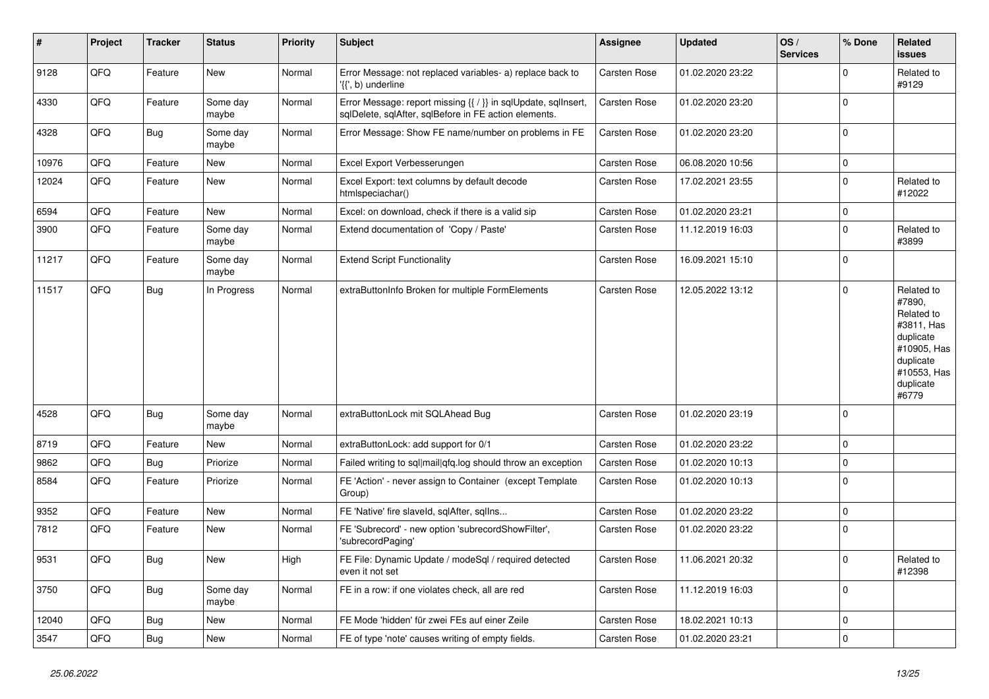| ∦     | Project | <b>Tracker</b> | <b>Status</b>     | <b>Priority</b> | <b>Subject</b>                                                                                                          | Assignee            | <b>Updated</b>   | OS/<br><b>Services</b> | % Done      | Related<br><b>issues</b>                                                                                                       |
|-------|---------|----------------|-------------------|-----------------|-------------------------------------------------------------------------------------------------------------------------|---------------------|------------------|------------------------|-------------|--------------------------------------------------------------------------------------------------------------------------------|
| 9128  | QFQ     | Feature        | <b>New</b>        | Normal          | Error Message: not replaced variables- a) replace back to<br>'{{', b) underline                                         | <b>Carsten Rose</b> | 01.02.2020 23:22 |                        | $\mathbf 0$ | Related to<br>#9129                                                                                                            |
| 4330  | QFQ     | Feature        | Some day<br>maybe | Normal          | Error Message: report missing {{ / }} in sqlUpdate, sqlInsert,<br>sqlDelete, sqlAfter, sqlBefore in FE action elements. | Carsten Rose        | 01.02.2020 23:20 |                        | $\mathbf 0$ |                                                                                                                                |
| 4328  | QFQ     | Bug            | Some day<br>maybe | Normal          | Error Message: Show FE name/number on problems in FE                                                                    | Carsten Rose        | 01.02.2020 23:20 |                        | $\Omega$    |                                                                                                                                |
| 10976 | QFQ     | Feature        | <b>New</b>        | Normal          | Excel Export Verbesserungen                                                                                             | Carsten Rose        | 06.08.2020 10:56 |                        | $\mathbf 0$ |                                                                                                                                |
| 12024 | QFQ     | Feature        | <b>New</b>        | Normal          | Excel Export: text columns by default decode<br>htmlspeciachar()                                                        | Carsten Rose        | 17.02.2021 23:55 |                        | $\Omega$    | Related to<br>#12022                                                                                                           |
| 6594  | QFQ     | Feature        | New               | Normal          | Excel: on download, check if there is a valid sip                                                                       | Carsten Rose        | 01.02.2020 23:21 |                        | $\mathbf 0$ |                                                                                                                                |
| 3900  | QFQ     | Feature        | Some day<br>maybe | Normal          | Extend documentation of 'Copy / Paste'                                                                                  | Carsten Rose        | 11.12.2019 16:03 |                        | $\mathbf 0$ | Related to<br>#3899                                                                                                            |
| 11217 | QFQ     | Feature        | Some day<br>maybe | Normal          | <b>Extend Script Functionality</b>                                                                                      | Carsten Rose        | 16.09.2021 15:10 |                        | $\mathbf 0$ |                                                                                                                                |
| 11517 | QFQ     | Bug            | In Progress       | Normal          | extraButtonInfo Broken for multiple FormElements                                                                        | <b>Carsten Rose</b> | 12.05.2022 13:12 |                        | $\mathbf 0$ | Related to<br>#7890,<br>Related to<br>#3811, Has<br>duplicate<br>#10905, Has<br>duplicate<br>#10553, Has<br>duplicate<br>#6779 |
| 4528  | QFQ     | Bug            | Some day<br>maybe | Normal          | extraButtonLock mit SQLAhead Bug                                                                                        | <b>Carsten Rose</b> | 01.02.2020 23:19 |                        | $\mathbf 0$ |                                                                                                                                |
| 8719  | QFQ     | Feature        | <b>New</b>        | Normal          | extraButtonLock: add support for 0/1                                                                                    | Carsten Rose        | 01.02.2020 23:22 |                        | $\mathbf 0$ |                                                                                                                                |
| 9862  | QFQ     | Bug            | Priorize          | Normal          | Failed writing to sql mail qfq.log should throw an exception                                                            | <b>Carsten Rose</b> | 01.02.2020 10:13 |                        | $\mathbf 0$ |                                                                                                                                |
| 8584  | QFQ     | Feature        | Priorize          | Normal          | FE 'Action' - never assign to Container (except Template<br>Group)                                                      | Carsten Rose        | 01.02.2020 10:13 |                        | $\mathbf 0$ |                                                                                                                                |
| 9352  | QFQ     | Feature        | New               | Normal          | FE 'Native' fire slaveld, sqlAfter, sqlIns                                                                              | Carsten Rose        | 01.02.2020 23:22 |                        | $\mathbf 0$ |                                                                                                                                |
| 7812  | QFQ     | Feature        | New               | Normal          | FE 'Subrecord' - new option 'subrecordShowFilter',<br>'subrecordPaging'                                                 | Carsten Rose        | 01.02.2020 23:22 |                        | $\Omega$    |                                                                                                                                |
| 9531  | QFQ     | Bug            | New               | High            | FE File: Dynamic Update / modeSql / required detected<br>even it not set                                                | Carsten Rose        | 11.06.2021 20:32 |                        | $\Omega$    | Related to<br>#12398                                                                                                           |
| 3750  | QFQ     | Bug            | Some day<br>maybe | Normal          | FE in a row: if one violates check, all are red                                                                         | <b>Carsten Rose</b> | 11.12.2019 16:03 |                        | $\mathbf 0$ |                                                                                                                                |
| 12040 | QFQ     | Bug            | <b>New</b>        | Normal          | FE Mode 'hidden' für zwei FEs auf einer Zeile                                                                           | Carsten Rose        | 18.02.2021 10:13 |                        | $\mathbf 0$ |                                                                                                                                |
| 3547  | QFQ     | Bug            | New               | Normal          | FE of type 'note' causes writing of empty fields.                                                                       | Carsten Rose        | 01.02.2020 23:21 |                        | $\mathbf 0$ |                                                                                                                                |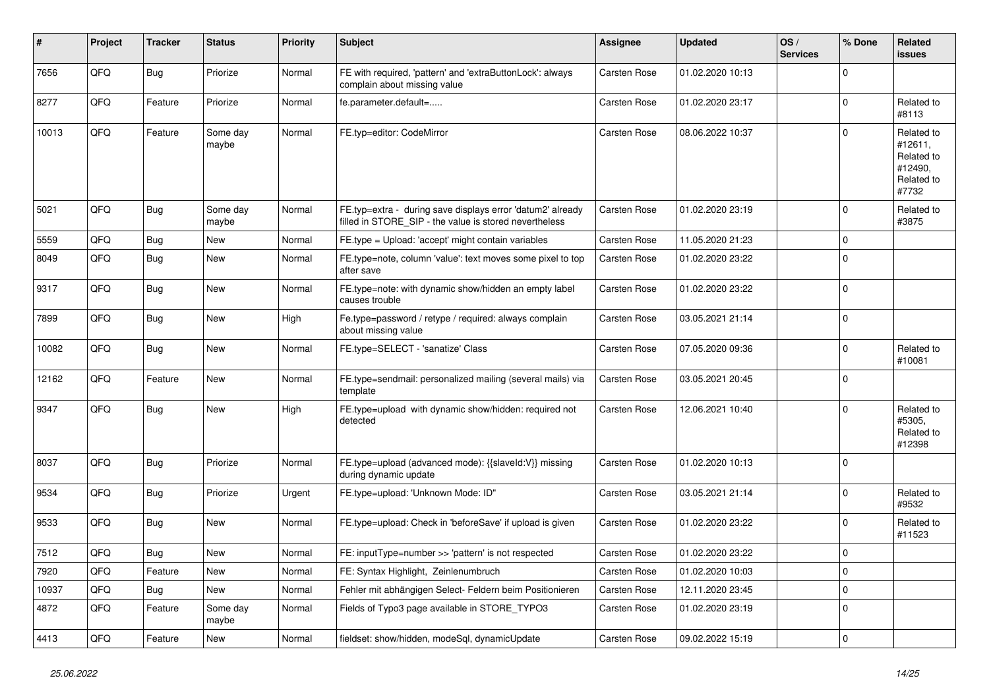| ∦     | Project | <b>Tracker</b> | <b>Status</b>     | <b>Priority</b> | <b>Subject</b>                                                                                                       | Assignee            | <b>Updated</b>   | OS/<br><b>Services</b> | % Done      | Related<br><b>issues</b>                                              |
|-------|---------|----------------|-------------------|-----------------|----------------------------------------------------------------------------------------------------------------------|---------------------|------------------|------------------------|-------------|-----------------------------------------------------------------------|
| 7656  | QFQ     | Bug            | Priorize          | Normal          | FE with required, 'pattern' and 'extraButtonLock': always<br>complain about missing value                            | Carsten Rose        | 01.02.2020 10:13 |                        | $\Omega$    |                                                                       |
| 8277  | QFQ     | Feature        | Priorize          | Normal          | fe.parameter.default=                                                                                                | Carsten Rose        | 01.02.2020 23:17 |                        | $\Omega$    | Related to<br>#8113                                                   |
| 10013 | QFQ     | Feature        | Some day<br>maybe | Normal          | FE.typ=editor: CodeMirror                                                                                            | Carsten Rose        | 08.06.2022 10:37 |                        | $\Omega$    | Related to<br>#12611,<br>Related to<br>#12490,<br>Related to<br>#7732 |
| 5021  | QFQ     | Bug            | Some day<br>maybe | Normal          | FE.typ=extra - during save displays error 'datum2' already<br>filled in STORE_SIP - the value is stored nevertheless | <b>Carsten Rose</b> | 01.02.2020 23:19 |                        | $\Omega$    | Related to<br>#3875                                                   |
| 5559  | QFQ     | Bug            | New               | Normal          | FE.type = Upload: 'accept' might contain variables                                                                   | Carsten Rose        | 11.05.2020 21:23 |                        | $\mathbf 0$ |                                                                       |
| 8049  | QFQ     | Bug            | <b>New</b>        | Normal          | FE.type=note, column 'value': text moves some pixel to top<br>after save                                             | Carsten Rose        | 01.02.2020 23:22 |                        | $\mathbf 0$ |                                                                       |
| 9317  | QFQ     | <b>Bug</b>     | <b>New</b>        | Normal          | FE.type=note: with dynamic show/hidden an empty label<br>causes trouble                                              | <b>Carsten Rose</b> | 01.02.2020 23:22 |                        | $\Omega$    |                                                                       |
| 7899  | QFQ     | Bug            | <b>New</b>        | High            | Fe.type=password / retype / required: always complain<br>about missing value                                         | Carsten Rose        | 03.05.2021 21:14 |                        | $\Omega$    |                                                                       |
| 10082 | QFQ     | Bug            | <b>New</b>        | Normal          | FE.type=SELECT - 'sanatize' Class                                                                                    | Carsten Rose        | 07.05.2020 09:36 |                        | $\Omega$    | Related to<br>#10081                                                  |
| 12162 | QFQ     | Feature        | New               | Normal          | FE.type=sendmail: personalized mailing (several mails) via<br>template                                               | Carsten Rose        | 03.05.2021 20:45 |                        | $\Omega$    |                                                                       |
| 9347  | QFQ     | <b>Bug</b>     | New               | High            | FE.type=upload with dynamic show/hidden: required not<br>detected                                                    | Carsten Rose        | 12.06.2021 10:40 |                        | $\Omega$    | Related to<br>#5305,<br>Related to<br>#12398                          |
| 8037  | QFQ     | <b>Bug</b>     | Priorize          | Normal          | FE.type=upload (advanced mode): {{slaveld:V}} missing<br>during dynamic update                                       | <b>Carsten Rose</b> | 01.02.2020 10:13 |                        | $\mathbf 0$ |                                                                       |
| 9534  | QFQ     | Bug            | Priorize          | Urgent          | FE.type=upload: 'Unknown Mode: ID"                                                                                   | Carsten Rose        | 03.05.2021 21:14 |                        | $\Omega$    | Related to<br>#9532                                                   |
| 9533  | QFQ     | <b>Bug</b>     | New               | Normal          | FE.type=upload: Check in 'beforeSave' if upload is given                                                             | Carsten Rose        | 01.02.2020 23:22 |                        | $\Omega$    | Related to<br>#11523                                                  |
| 7512  | QFQ     | Bug            | <b>New</b>        | Normal          | FE: inputType=number >> 'pattern' is not respected                                                                   | Carsten Rose        | 01.02.2020 23:22 |                        | $\mathbf 0$ |                                                                       |
| 7920  | QFQ     | Feature        | <b>New</b>        | Normal          | FE: Syntax Highlight, Zeinlenumbruch                                                                                 | <b>Carsten Rose</b> | 01.02.2020 10:03 |                        | $\Omega$    |                                                                       |
| 10937 | QFQ     | Bug            | <b>New</b>        | Normal          | Fehler mit abhängigen Select- Feldern beim Positionieren                                                             | <b>Carsten Rose</b> | 12.11.2020 23:45 |                        | $\mathbf 0$ |                                                                       |
| 4872  | QFQ     | Feature        | Some day<br>maybe | Normal          | Fields of Typo3 page available in STORE_TYPO3                                                                        | <b>Carsten Rose</b> | 01.02.2020 23:19 |                        | $\Omega$    |                                                                       |
| 4413  | QFQ     | Feature        | <b>New</b>        | Normal          | fieldset: show/hidden, modeSql, dynamicUpdate                                                                        | Carsten Rose        | 09.02.2022 15:19 |                        | $\mathbf 0$ |                                                                       |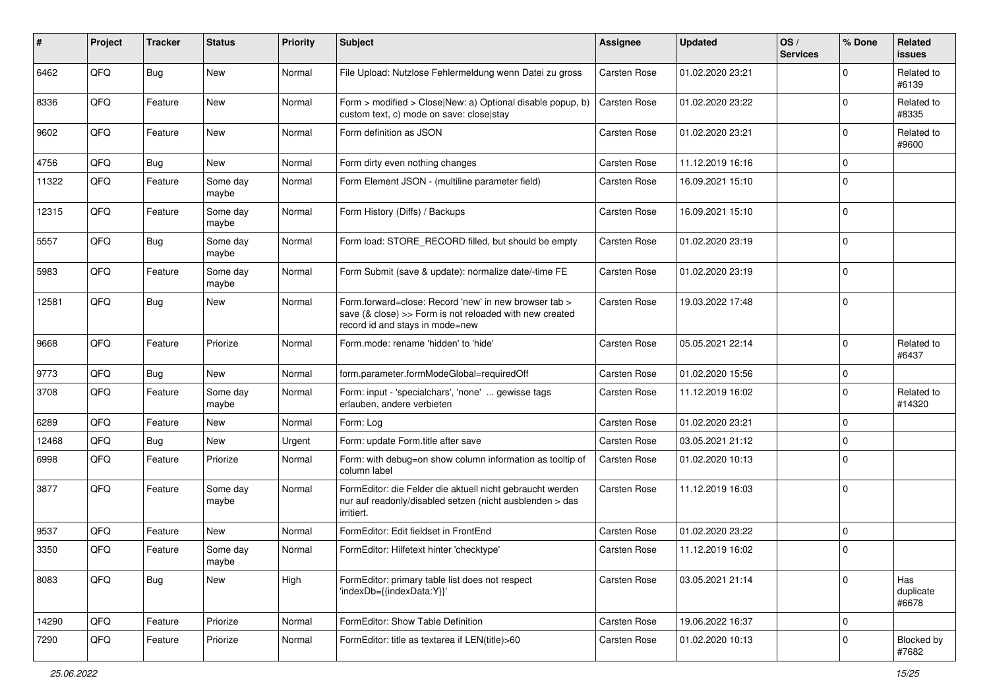| #     | Project | <b>Tracker</b> | <b>Status</b>     | <b>Priority</b> | <b>Subject</b>                                                                                                                                      | <b>Assignee</b>     | <b>Updated</b>   | OS/<br><b>Services</b> | % Done      | Related<br>issues         |
|-------|---------|----------------|-------------------|-----------------|-----------------------------------------------------------------------------------------------------------------------------------------------------|---------------------|------------------|------------------------|-------------|---------------------------|
| 6462  | QFQ     | <b>Bug</b>     | New               | Normal          | File Upload: Nutzlose Fehlermeldung wenn Datei zu gross                                                                                             | Carsten Rose        | 01.02.2020 23:21 |                        | $\Omega$    | Related to<br>#6139       |
| 8336  | QFQ     | Feature        | New               | Normal          | Form > modified > Close New: a) Optional disable popup, b)<br>custom text, c) mode on save: close stay                                              | Carsten Rose        | 01.02.2020 23:22 |                        | $\mathbf 0$ | Related to<br>#8335       |
| 9602  | QFQ     | Feature        | <b>New</b>        | Normal          | Form definition as JSON                                                                                                                             | Carsten Rose        | 01.02.2020 23:21 |                        | $\Omega$    | Related to<br>#9600       |
| 4756  | QFQ     | Bug            | New               | Normal          | Form dirty even nothing changes                                                                                                                     | Carsten Rose        | 11.12.2019 16:16 |                        | $\mathbf 0$ |                           |
| 11322 | QFQ     | Feature        | Some day<br>maybe | Normal          | Form Element JSON - (multiline parameter field)                                                                                                     | Carsten Rose        | 16.09.2021 15:10 |                        | $\Omega$    |                           |
| 12315 | QFQ     | Feature        | Some day<br>maybe | Normal          | Form History (Diffs) / Backups                                                                                                                      | Carsten Rose        | 16.09.2021 15:10 |                        | $\mathbf 0$ |                           |
| 5557  | QFQ     | Bug            | Some day<br>maybe | Normal          | Form load: STORE_RECORD filled, but should be empty                                                                                                 | Carsten Rose        | 01.02.2020 23:19 |                        | 0           |                           |
| 5983  | QFQ     | Feature        | Some day<br>maybe | Normal          | Form Submit (save & update): normalize date/-time FE                                                                                                | Carsten Rose        | 01.02.2020 23:19 |                        | 0           |                           |
| 12581 | QFQ     | Bug            | New               | Normal          | Form.forward=close: Record 'new' in new browser tab ><br>save (& close) >> Form is not reloaded with new created<br>record id and stays in mode=new | Carsten Rose        | 19.03.2022 17:48 |                        | $\mathbf 0$ |                           |
| 9668  | QFQ     | Feature        | Priorize          | Normal          | Form.mode: rename 'hidden' to 'hide'                                                                                                                | Carsten Rose        | 05.05.2021 22:14 |                        | $\Omega$    | Related to<br>#6437       |
| 9773  | QFQ     | Bug            | New               | Normal          | form.parameter.formModeGlobal=requiredOff                                                                                                           | Carsten Rose        | 01.02.2020 15:56 |                        | 0           |                           |
| 3708  | QFQ     | Feature        | Some day<br>maybe | Normal          | Form: input - 'specialchars', 'none'  gewisse tags<br>erlauben, andere verbieten                                                                    | Carsten Rose        | 11.12.2019 16:02 |                        | $\mathbf 0$ | Related to<br>#14320      |
| 6289  | QFQ     | Feature        | <b>New</b>        | Normal          | Form: Log                                                                                                                                           | Carsten Rose        | 01.02.2020 23:21 |                        | $\mathbf 0$ |                           |
| 12468 | QFQ     | Bug            | New               | Urgent          | Form: update Form.title after save                                                                                                                  | Carsten Rose        | 03.05.2021 21:12 |                        | $\mathbf 0$ |                           |
| 6998  | QFQ     | Feature        | Priorize          | Normal          | Form: with debug=on show column information as tooltip of<br>column label                                                                           | Carsten Rose        | 01.02.2020 10:13 |                        | $\Omega$    |                           |
| 3877  | QFQ     | Feature        | Some day<br>maybe | Normal          | FormEditor: die Felder die aktuell nicht gebraucht werden<br>nur auf readonly/disabled setzen (nicht ausblenden > das<br>irritiert.                 | Carsten Rose        | 11.12.2019 16:03 |                        | 0           |                           |
| 9537  | QFQ     | Feature        | <b>New</b>        | Normal          | FormEditor: Edit fieldset in FrontEnd                                                                                                               | Carsten Rose        | 01.02.2020 23:22 |                        | $\mathbf 0$ |                           |
| 3350  | QFQ     | Feature        | Some day<br>maybe | Normal          | FormEditor: Hilfetext hinter 'checktype'                                                                                                            | <b>Carsten Rose</b> | 11.12.2019 16:02 |                        | 0           |                           |
| 8083  | QFG     | <b>Bug</b>     | New               | High            | FormEditor: primary table list does not respect<br>'indexDb={{indexData:Y}}'                                                                        | Carsten Rose        | 03.05.2021 21:14 |                        | $\mathbf 0$ | Has<br>duplicate<br>#6678 |
| 14290 | QFQ     | Feature        | Priorize          | Normal          | FormEditor: Show Table Definition                                                                                                                   | Carsten Rose        | 19.06.2022 16:37 |                        | 0           |                           |
| 7290  | QFQ     | Feature        | Priorize          | Normal          | FormEditor: title as textarea if LEN(title)>60                                                                                                      | Carsten Rose        | 01.02.2020 10:13 |                        | $\mathbf 0$ | Blocked by<br>#7682       |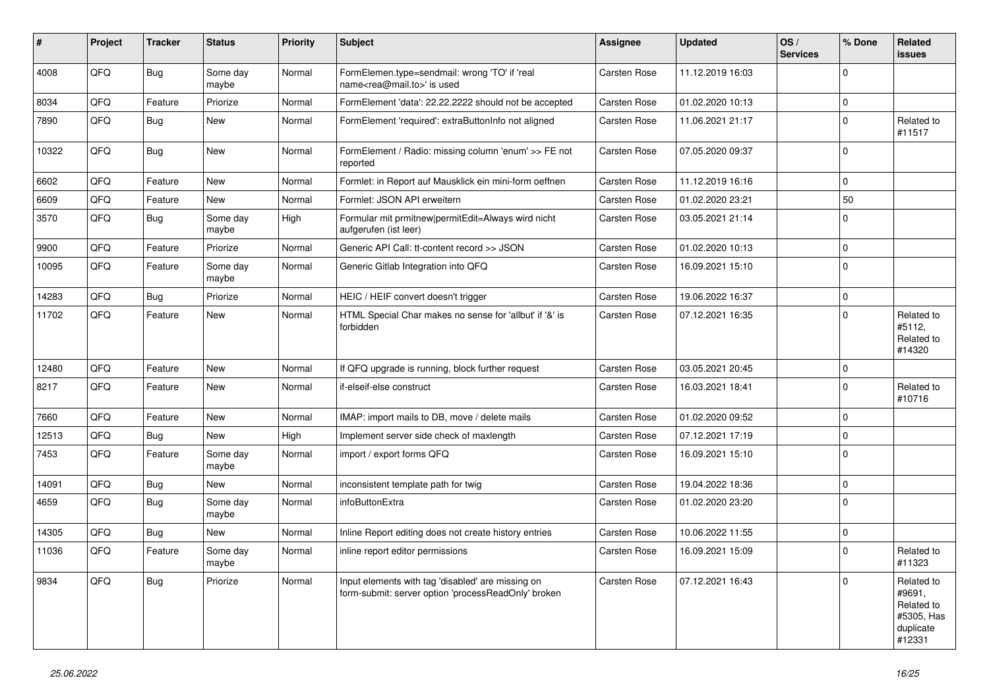| ∦     | Project | <b>Tracker</b> | <b>Status</b>     | <b>Priority</b> | Subject                                                                                                  | <b>Assignee</b>     | <b>Updated</b>   | OS/<br><b>Services</b> | % Done      | Related<br>issues                                                       |
|-------|---------|----------------|-------------------|-----------------|----------------------------------------------------------------------------------------------------------|---------------------|------------------|------------------------|-------------|-------------------------------------------------------------------------|
| 4008  | QFQ     | Bug            | Some day<br>maybe | Normal          | FormElemen.type=sendmail: wrong 'TO' if 'real<br>name <rea@mail.to>' is used</rea@mail.to>               | <b>Carsten Rose</b> | 11.12.2019 16:03 |                        | $\Omega$    |                                                                         |
| 8034  | QFQ     | Feature        | Priorize          | Normal          | FormElement 'data': 22.22.2222 should not be accepted                                                    | <b>Carsten Rose</b> | 01.02.2020 10:13 |                        | $\mathbf 0$ |                                                                         |
| 7890  | QFQ     | Bug            | New               | Normal          | FormElement 'required': extraButtonInfo not aligned                                                      | <b>Carsten Rose</b> | 11.06.2021 21:17 |                        | $\Omega$    | Related to<br>#11517                                                    |
| 10322 | QFQ     | Bug            | <b>New</b>        | Normal          | FormElement / Radio: missing column 'enum' >> FE not<br>reported                                         | <b>Carsten Rose</b> | 07.05.2020 09:37 |                        | 0           |                                                                         |
| 6602  | QFQ     | Feature        | <b>New</b>        | Normal          | Formlet: in Report auf Mausklick ein mini-form oeffnen                                                   | Carsten Rose        | 11.12.2019 16:16 |                        | $\Omega$    |                                                                         |
| 6609  | QFQ     | Feature        | New               | Normal          | Formlet: JSON API erweitern                                                                              | Carsten Rose        | 01.02.2020 23:21 |                        | 50          |                                                                         |
| 3570  | QFQ     | Bug            | Some day<br>maybe | High            | Formular mit prmitnew permitEdit=Always wird nicht<br>aufgerufen (ist leer)                              | Carsten Rose        | 03.05.2021 21:14 |                        | $\Omega$    |                                                                         |
| 9900  | QFQ     | Feature        | Priorize          | Normal          | Generic API Call: tt-content record >> JSON                                                              | <b>Carsten Rose</b> | 01.02.2020 10:13 |                        | $\mathbf 0$ |                                                                         |
| 10095 | QFQ     | Feature        | Some day<br>maybe | Normal          | Generic Gitlab Integration into QFQ                                                                      | Carsten Rose        | 16.09.2021 15:10 |                        | $\Omega$    |                                                                         |
| 14283 | QFQ     | <b>Bug</b>     | Priorize          | Normal          | HEIC / HEIF convert doesn't trigger                                                                      | <b>Carsten Rose</b> | 19.06.2022 16:37 |                        | $\mathbf 0$ |                                                                         |
| 11702 | QFQ     | Feature        | <b>New</b>        | Normal          | HTML Special Char makes no sense for 'allbut' if '&' is<br>forbidden                                     | <b>Carsten Rose</b> | 07.12.2021 16:35 |                        | $\Omega$    | Related to<br>#5112,<br>Related to<br>#14320                            |
| 12480 | QFQ     | Feature        | <b>New</b>        | Normal          | If QFQ upgrade is running, block further request                                                         | Carsten Rose        | 03.05.2021 20:45 |                        | $\Omega$    |                                                                         |
| 8217  | QFQ     | Feature        | <b>New</b>        | Normal          | if-elseif-else construct                                                                                 | Carsten Rose        | 16.03.2021 18:41 |                        | $\Omega$    | Related to<br>#10716                                                    |
| 7660  | QFQ     | Feature        | <b>New</b>        | Normal          | IMAP: import mails to DB, move / delete mails                                                            | <b>Carsten Rose</b> | 01.02.2020 09:52 |                        | $\mathbf 0$ |                                                                         |
| 12513 | QFQ     | Bug            | <b>New</b>        | High            | Implement server side check of maxlength                                                                 | <b>Carsten Rose</b> | 07.12.2021 17:19 |                        | $\Omega$    |                                                                         |
| 7453  | QFQ     | Feature        | Some day<br>maybe | Normal          | import / export forms QFQ                                                                                | Carsten Rose        | 16.09.2021 15:10 |                        | 0           |                                                                         |
| 14091 | QFQ     | Bug            | <b>New</b>        | Normal          | inconsistent template path for twig                                                                      | <b>Carsten Rose</b> | 19.04.2022 18:36 |                        | $\mathbf 0$ |                                                                         |
| 4659  | QFQ     | Bug            | Some day<br>maybe | Normal          | infoButtonExtra                                                                                          | Carsten Rose        | 01.02.2020 23:20 |                        | $\Omega$    |                                                                         |
| 14305 | QFQ     | Bug            | <b>New</b>        | Normal          | Inline Report editing does not create history entries                                                    | <b>Carsten Rose</b> | 10.06.2022 11:55 |                        | $\mathbf 0$ |                                                                         |
| 11036 | QFQ     | Feature        | Some day<br>maybe | Normal          | inline report editor permissions                                                                         | <b>Carsten Rose</b> | 16.09.2021 15:09 |                        | $\mathbf 0$ | Related to<br>#11323                                                    |
| 9834  | QFQ     | Bug            | Priorize          | Normal          | Input elements with tag 'disabled' are missing on<br>form-submit: server option 'processReadOnly' broken | Carsten Rose        | 07.12.2021 16:43 |                        | $\Omega$    | Related to<br>#9691,<br>Related to<br>#5305, Has<br>duplicate<br>#12331 |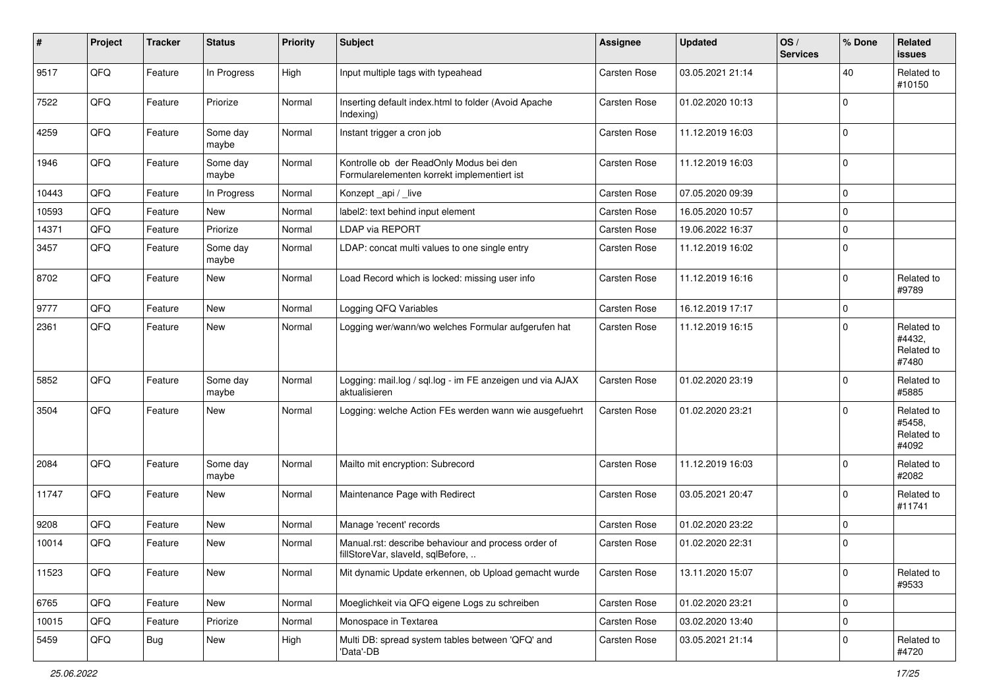| #     | Project | <b>Tracker</b> | <b>Status</b>     | <b>Priority</b> | <b>Subject</b>                                                                           | <b>Assignee</b>     | <b>Updated</b>   | OS/<br><b>Services</b> | % Done      | Related<br><b>issues</b>                    |
|-------|---------|----------------|-------------------|-----------------|------------------------------------------------------------------------------------------|---------------------|------------------|------------------------|-------------|---------------------------------------------|
| 9517  | QFQ     | Feature        | In Progress       | High            | Input multiple tags with typeahead                                                       | Carsten Rose        | 03.05.2021 21:14 |                        | 40          | Related to<br>#10150                        |
| 7522  | QFQ     | Feature        | Priorize          | Normal          | Inserting default index.html to folder (Avoid Apache<br>Indexing)                        | Carsten Rose        | 01.02.2020 10:13 |                        | $\mathbf 0$ |                                             |
| 4259  | QFQ     | Feature        | Some day<br>maybe | Normal          | Instant trigger a cron job                                                               | Carsten Rose        | 11.12.2019 16:03 |                        | 0           |                                             |
| 1946  | QFQ     | Feature        | Some day<br>maybe | Normal          | Kontrolle ob der ReadOnly Modus bei den<br>Formularelementen korrekt implementiert ist   | Carsten Rose        | 11.12.2019 16:03 |                        | $\mathbf 0$ |                                             |
| 10443 | QFQ     | Feature        | In Progress       | Normal          | Konzept _api / _live                                                                     | Carsten Rose        | 07.05.2020 09:39 |                        | $\mathbf 0$ |                                             |
| 10593 | QFQ     | Feature        | New               | Normal          | label2: text behind input element                                                        | Carsten Rose        | 16.05.2020 10:57 |                        | 0           |                                             |
| 14371 | QFQ     | Feature        | Priorize          | Normal          | <b>LDAP via REPORT</b>                                                                   | Carsten Rose        | 19.06.2022 16:37 |                        | $\mathbf 0$ |                                             |
| 3457  | QFQ     | Feature        | Some day<br>maybe | Normal          | LDAP: concat multi values to one single entry                                            | Carsten Rose        | 11.12.2019 16:02 |                        | $\Omega$    |                                             |
| 8702  | QFQ     | Feature        | <b>New</b>        | Normal          | Load Record which is locked: missing user info                                           | <b>Carsten Rose</b> | 11.12.2019 16:16 |                        | $\mathbf 0$ | Related to<br>#9789                         |
| 9777  | QFQ     | Feature        | New               | Normal          | Logging QFQ Variables                                                                    | Carsten Rose        | 16.12.2019 17:17 |                        | $\mathbf 0$ |                                             |
| 2361  | QFQ     | Feature        | <b>New</b>        | Normal          | Logging wer/wann/wo welches Formular aufgerufen hat                                      | Carsten Rose        | 11.12.2019 16:15 |                        | $\Omega$    | Related to<br>#4432,<br>Related to<br>#7480 |
| 5852  | QFQ     | Feature        | Some day<br>maybe | Normal          | Logging: mail.log / sql.log - im FE anzeigen und via AJAX<br>aktualisieren               | Carsten Rose        | 01.02.2020 23:19 |                        | 0           | Related to<br>#5885                         |
| 3504  | QFQ     | Feature        | <b>New</b>        | Normal          | Logging: welche Action FEs werden wann wie ausgefuehrt                                   | Carsten Rose        | 01.02.2020 23:21 |                        | $\mathbf 0$ | Related to<br>#5458,<br>Related to<br>#4092 |
| 2084  | QFQ     | Feature        | Some day<br>maybe | Normal          | Mailto mit encryption: Subrecord                                                         | <b>Carsten Rose</b> | 11.12.2019 16:03 |                        | $\Omega$    | Related to<br>#2082                         |
| 11747 | QFQ     | Feature        | <b>New</b>        | Normal          | Maintenance Page with Redirect                                                           | Carsten Rose        | 03.05.2021 20:47 |                        | $\mathbf 0$ | Related to<br>#11741                        |
| 9208  | QFQ     | Feature        | <b>New</b>        | Normal          | Manage 'recent' records                                                                  | Carsten Rose        | 01.02.2020 23:22 |                        | 0           |                                             |
| 10014 | QFQ     | Feature        | <b>New</b>        | Normal          | Manual.rst: describe behaviour and process order of<br>fillStoreVar, slaveId, sqlBefore, | Carsten Rose        | 01.02.2020 22:31 |                        | 0           |                                             |
| 11523 | QFQ     | Feature        | New               | Normal          | Mit dynamic Update erkennen, ob Upload gemacht wurde                                     | Carsten Rose        | 13.11.2020 15:07 |                        | $\mathbf 0$ | Related to<br>#9533                         |
| 6765  | QFQ     | Feature        | New               | Normal          | Moeglichkeit via QFQ eigene Logs zu schreiben                                            | Carsten Rose        | 01.02.2020 23:21 |                        | $\mathbf 0$ |                                             |
| 10015 | QFQ     | Feature        | Priorize          | Normal          | Monospace in Textarea                                                                    | Carsten Rose        | 03.02.2020 13:40 |                        | $\mathbf 0$ |                                             |
| 5459  | QFQ     | Bug            | New               | High            | Multi DB: spread system tables between 'QFQ' and<br>'Data'-DB                            | Carsten Rose        | 03.05.2021 21:14 |                        | 0           | Related to<br>#4720                         |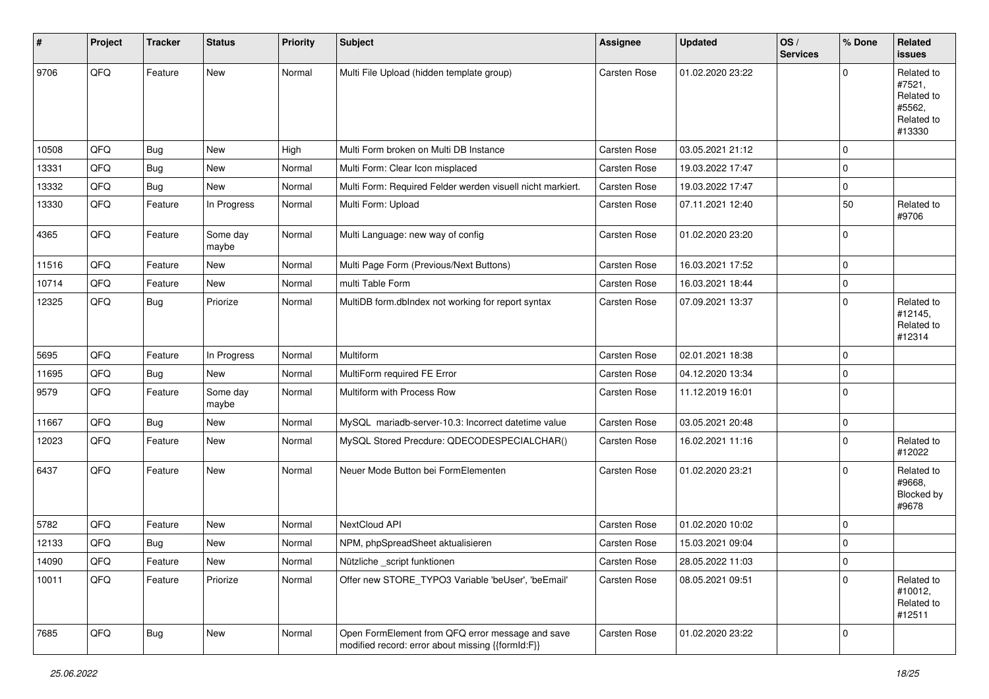| #     | Project | <b>Tracker</b> | <b>Status</b>     | <b>Priority</b> | <b>Subject</b>                                                                                        | Assignee            | <b>Updated</b>   | OS/<br><b>Services</b> | % Done      | Related<br><b>issues</b>                                             |
|-------|---------|----------------|-------------------|-----------------|-------------------------------------------------------------------------------------------------------|---------------------|------------------|------------------------|-------------|----------------------------------------------------------------------|
| 9706  | QFQ     | Feature        | New               | Normal          | Multi File Upload (hidden template group)                                                             | Carsten Rose        | 01.02.2020 23:22 |                        | $\mathbf 0$ | Related to<br>#7521,<br>Related to<br>#5562,<br>Related to<br>#13330 |
| 10508 | QFQ     | Bug            | <b>New</b>        | High            | Multi Form broken on Multi DB Instance                                                                | Carsten Rose        | 03.05.2021 21:12 |                        | $\mathbf 0$ |                                                                      |
| 13331 | QFQ     | <b>Bug</b>     | <b>New</b>        | Normal          | Multi Form: Clear Icon misplaced                                                                      | <b>Carsten Rose</b> | 19.03.2022 17:47 |                        | $\mathbf 0$ |                                                                      |
| 13332 | QFQ     | Bug            | <b>New</b>        | Normal          | Multi Form: Required Felder werden visuell nicht markiert.                                            | Carsten Rose        | 19.03.2022 17:47 |                        | $\mathbf 0$ |                                                                      |
| 13330 | QFQ     | Feature        | In Progress       | Normal          | Multi Form: Upload                                                                                    | Carsten Rose        | 07.11.2021 12:40 |                        | 50          | Related to<br>#9706                                                  |
| 4365  | QFQ     | Feature        | Some day<br>maybe | Normal          | Multi Language: new way of config                                                                     | <b>Carsten Rose</b> | 01.02.2020 23:20 |                        | $\mathbf 0$ |                                                                      |
| 11516 | QFQ     | Feature        | <b>New</b>        | Normal          | Multi Page Form (Previous/Next Buttons)                                                               | Carsten Rose        | 16.03.2021 17:52 |                        | $\mathbf 0$ |                                                                      |
| 10714 | QFQ     | Feature        | New               | Normal          | multi Table Form                                                                                      | Carsten Rose        | 16.03.2021 18:44 |                        | $\pmb{0}$   |                                                                      |
| 12325 | QFQ     | <b>Bug</b>     | Priorize          | Normal          | MultiDB form.dblndex not working for report syntax                                                    | Carsten Rose        | 07.09.2021 13:37 |                        | $\mathbf 0$ | Related to<br>#12145,<br>Related to<br>#12314                        |
| 5695  | QFQ     | Feature        | In Progress       | Normal          | <b>Multiform</b>                                                                                      | Carsten Rose        | 02.01.2021 18:38 |                        | $\mathbf 0$ |                                                                      |
| 11695 | QFQ     | Bug            | <b>New</b>        | Normal          | MultiForm required FE Error                                                                           | Carsten Rose        | 04.12.2020 13:34 |                        | $\mathbf 0$ |                                                                      |
| 9579  | QFQ     | Feature        | Some day<br>maybe | Normal          | Multiform with Process Row                                                                            | Carsten Rose        | 11.12.2019 16:01 |                        | $\mathbf 0$ |                                                                      |
| 11667 | QFQ     | Bug            | <b>New</b>        | Normal          | MySQL mariadb-server-10.3: Incorrect datetime value                                                   | <b>Carsten Rose</b> | 03.05.2021 20:48 |                        | $\mathbf 0$ |                                                                      |
| 12023 | QFQ     | Feature        | <b>New</b>        | Normal          | MySQL Stored Precdure: QDECODESPECIALCHAR()                                                           | Carsten Rose        | 16.02.2021 11:16 |                        | $\mathbf 0$ | Related to<br>#12022                                                 |
| 6437  | QFQ     | Feature        | <b>New</b>        | Normal          | Neuer Mode Button bei FormElementen                                                                   | Carsten Rose        | 01.02.2020 23:21 |                        | $\Omega$    | Related to<br>#9668,<br>Blocked by<br>#9678                          |
| 5782  | QFQ     | Feature        | New               | Normal          | NextCloud API                                                                                         | Carsten Rose        | 01.02.2020 10:02 |                        | $\mathbf 0$ |                                                                      |
| 12133 | QFQ     | <b>Bug</b>     | <b>New</b>        | Normal          | NPM, phpSpreadSheet aktualisieren                                                                     | Carsten Rose        | 15.03.2021 09:04 |                        | $\mathbf 0$ |                                                                      |
| 14090 | QFG     | Feature        | New               | Normal          | Nützliche _script funktionen                                                                          | Carsten Rose        | 28.05.2022 11:03 |                        | O           |                                                                      |
| 10011 | QFQ     | Feature        | Priorize          | Normal          | Offer new STORE_TYPO3 Variable 'beUser', 'beEmail'                                                    | Carsten Rose        | 08.05.2021 09:51 |                        | $\mathbf 0$ | Related to<br>#10012,<br>Related to<br>#12511                        |
| 7685  | QFQ     | Bug            | New               | Normal          | Open FormElement from QFQ error message and save<br>modified record: error about missing {{formId:F}} | Carsten Rose        | 01.02.2020 23:22 |                        | $\mathbf 0$ |                                                                      |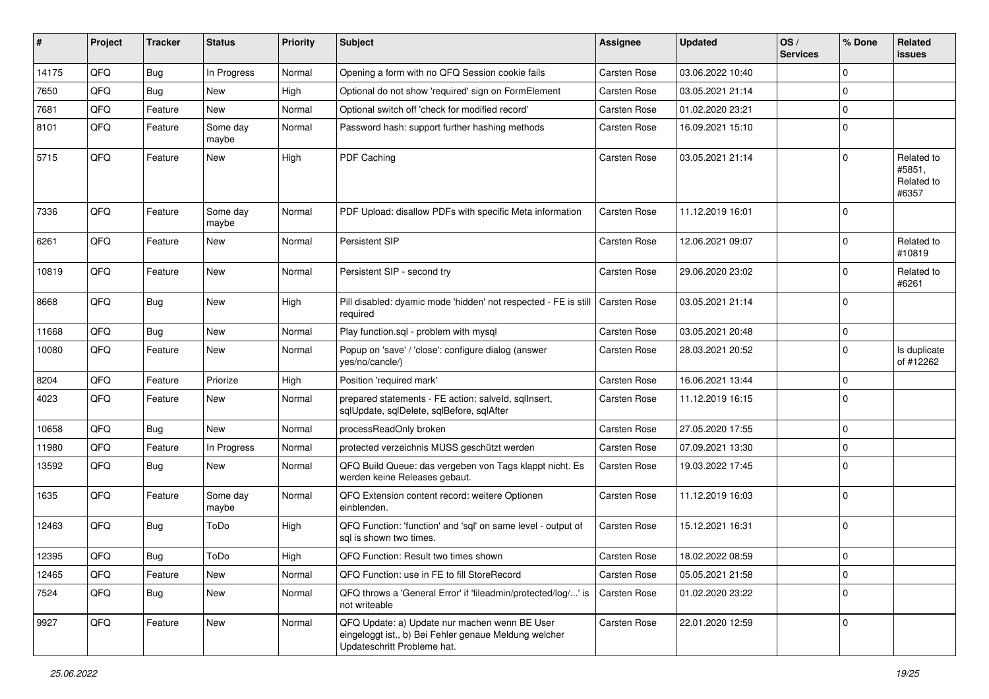| ∦     | Project | <b>Tracker</b>   | <b>Status</b>     | <b>Priority</b> | Subject                                                                                                                               | <b>Assignee</b>     | <b>Updated</b>   | OS/<br><b>Services</b> | % Done      | Related<br>issues                           |
|-------|---------|------------------|-------------------|-----------------|---------------------------------------------------------------------------------------------------------------------------------------|---------------------|------------------|------------------------|-------------|---------------------------------------------|
| 14175 | QFQ     | Bug              | In Progress       | Normal          | Opening a form with no QFQ Session cookie fails                                                                                       | Carsten Rose        | 03.06.2022 10:40 |                        | $\Omega$    |                                             |
| 7650  | QFQ     | Bug              | <b>New</b>        | High            | Optional do not show 'required' sign on FormElement                                                                                   | Carsten Rose        | 03.05.2021 21:14 |                        | $\mathbf 0$ |                                             |
| 7681  | QFQ     | Feature          | <b>New</b>        | Normal          | Optional switch off 'check for modified record'                                                                                       | Carsten Rose        | 01.02.2020 23:21 |                        | $\mathbf 0$ |                                             |
| 8101  | QFQ     | Feature          | Some day<br>maybe | Normal          | Password hash: support further hashing methods                                                                                        | <b>Carsten Rose</b> | 16.09.2021 15:10 |                        | $\mathbf 0$ |                                             |
| 5715  | QFQ     | Feature          | New               | High            | PDF Caching                                                                                                                           | Carsten Rose        | 03.05.2021 21:14 |                        | $\Omega$    | Related to<br>#5851,<br>Related to<br>#6357 |
| 7336  | QFQ     | Feature          | Some day<br>maybe | Normal          | PDF Upload: disallow PDFs with specific Meta information                                                                              | <b>Carsten Rose</b> | 11.12.2019 16:01 |                        | $\mathbf 0$ |                                             |
| 6261  | QFQ     | Feature          | <b>New</b>        | Normal          | <b>Persistent SIP</b>                                                                                                                 | Carsten Rose        | 12.06.2021 09:07 |                        | $\mathbf 0$ | Related to<br>#10819                        |
| 10819 | QFQ     | Feature          | New               | Normal          | Persistent SIP - second try                                                                                                           | <b>Carsten Rose</b> | 29.06.2020 23:02 |                        | $\mathbf 0$ | Related to<br>#6261                         |
| 8668  | QFQ     | Bug              | New               | High            | Pill disabled: dyamic mode 'hidden' not respected - FE is still<br>required                                                           | Carsten Rose        | 03.05.2021 21:14 |                        | $\Omega$    |                                             |
| 11668 | QFQ     | Bug              | New               | Normal          | Play function.sql - problem with mysql                                                                                                | <b>Carsten Rose</b> | 03.05.2021 20:48 |                        | $\mathbf 0$ |                                             |
| 10080 | QFQ     | Feature          | New               | Normal          | Popup on 'save' / 'close': configure dialog (answer<br>yes/no/cancle/)                                                                | <b>Carsten Rose</b> | 28.03.2021 20:52 |                        | $\Omega$    | Is duplicate<br>of #12262                   |
| 8204  | QFQ     | Feature          | Priorize          | High            | Position 'required mark'                                                                                                              | <b>Carsten Rose</b> | 16.06.2021 13:44 |                        | $\mathbf 0$ |                                             |
| 4023  | QFQ     | Feature          | New               | Normal          | prepared statements - FE action: salveld, sqlInsert,<br>sqlUpdate, sqlDelete, sqlBefore, sqlAfter                                     | Carsten Rose        | 11.12.2019 16:15 |                        | $\Omega$    |                                             |
| 10658 | QFQ     | Bug              | New               | Normal          | processReadOnly broken                                                                                                                | <b>Carsten Rose</b> | 27.05.2020 17:55 |                        | $\mathbf 0$ |                                             |
| 11980 | QFQ     | Feature          | In Progress       | Normal          | protected verzeichnis MUSS geschützt werden                                                                                           | Carsten Rose        | 07.09.2021 13:30 |                        | $\mathbf 0$ |                                             |
| 13592 | QFQ     | Bug              | <b>New</b>        | Normal          | QFQ Build Queue: das vergeben von Tags klappt nicht. Es<br>werden keine Releases gebaut.                                              | Carsten Rose        | 19.03.2022 17:45 |                        | $\mathbf 0$ |                                             |
| 1635  | QFQ     | Feature          | Some day<br>maybe | Normal          | QFQ Extension content record: weitere Optionen<br>einblenden.                                                                         | <b>Carsten Rose</b> | 11.12.2019 16:03 |                        | $\mathbf 0$ |                                             |
| 12463 | QFQ     | Bug              | ToDo              | High            | QFQ Function: 'function' and 'sql' on same level - output of<br>sql is shown two times.                                               | <b>Carsten Rose</b> | 15.12.2021 16:31 |                        | $\Omega$    |                                             |
| 12395 | QFQ     | <sub>i</sub> Bug | ToDo              | High            | QFQ Function: Result two times shown                                                                                                  | <b>Carsten Rose</b> | 18.02.2022 08:59 |                        | $\mathbf 0$ |                                             |
| 12465 | QFQ     | Feature          | New               | Normal          | QFQ Function: use in FE to fill StoreRecord                                                                                           | Carsten Rose        | 05.05.2021 21:58 |                        | $\mathbf 0$ |                                             |
| 7524  | QFQ     | Bug              | New               | Normal          | QFQ throws a 'General Error' if 'fileadmin/protected/log/' is<br>not writeable                                                        | Carsten Rose        | 01.02.2020 23:22 |                        | $\mathbf 0$ |                                             |
| 9927  | QFQ     | Feature          | New               | Normal          | QFQ Update: a) Update nur machen wenn BE User<br>eingeloggt ist., b) Bei Fehler genaue Meldung welcher<br>Updateschritt Probleme hat. | Carsten Rose        | 22.01.2020 12:59 |                        | $\mathbf 0$ |                                             |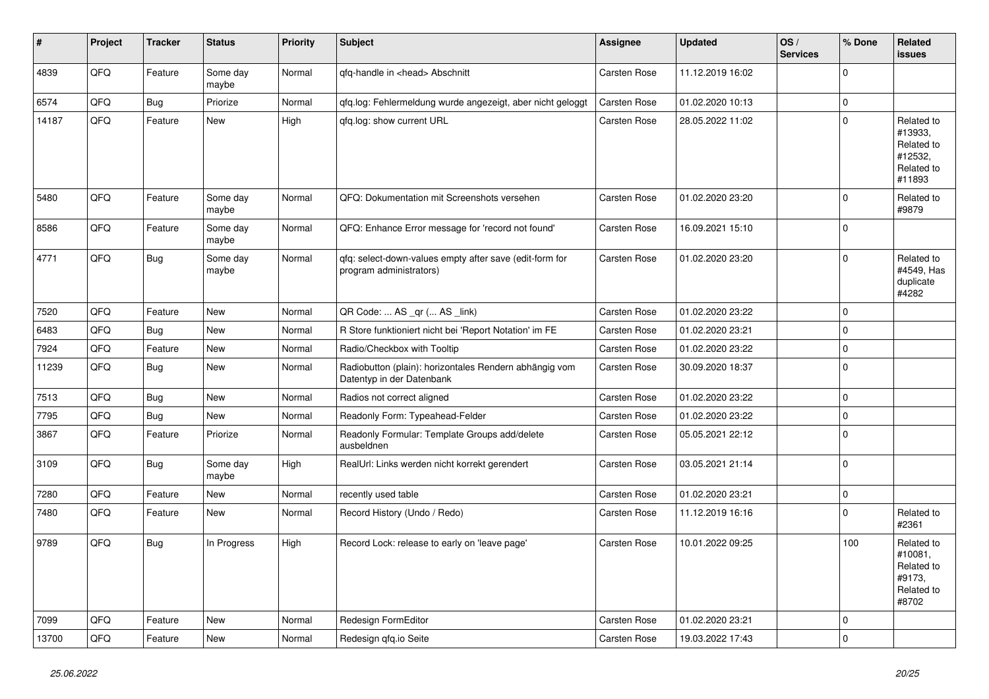| ∦     | Project | <b>Tracker</b> | <b>Status</b>     | <b>Priority</b> | <b>Subject</b>                                                                      | Assignee     | <b>Updated</b>   | OS/<br><b>Services</b> | % Done      | Related<br>issues                                                      |
|-------|---------|----------------|-------------------|-----------------|-------------------------------------------------------------------------------------|--------------|------------------|------------------------|-------------|------------------------------------------------------------------------|
| 4839  | QFQ     | Feature        | Some day<br>maybe | Normal          | gfg-handle in <head> Abschnitt</head>                                               | Carsten Rose | 11.12.2019 16:02 |                        | $\Omega$    |                                                                        |
| 6574  | QFQ     | Bug            | Priorize          | Normal          | gfg.log: Fehlermeldung wurde angezeigt, aber nicht geloggt                          | Carsten Rose | 01.02.2020 10:13 |                        | $\mathbf 0$ |                                                                        |
| 14187 | QFQ     | Feature        | New               | High            | gfg.log: show current URL                                                           | Carsten Rose | 28.05.2022 11:02 |                        | $\Omega$    | Related to<br>#13933,<br>Related to<br>#12532,<br>Related to<br>#11893 |
| 5480  | QFQ     | Feature        | Some day<br>maybe | Normal          | QFQ: Dokumentation mit Screenshots versehen                                         | Carsten Rose | 01.02.2020 23:20 |                        | $\mathbf 0$ | Related to<br>#9879                                                    |
| 8586  | QFQ     | Feature        | Some day<br>maybe | Normal          | QFQ: Enhance Error message for 'record not found'                                   | Carsten Rose | 16.09.2021 15:10 |                        | $\mathbf 0$ |                                                                        |
| 4771  | QFQ     | Bug            | Some day<br>maybe | Normal          | gfg: select-down-values empty after save (edit-form for<br>program administrators)  | Carsten Rose | 01.02.2020 23:20 |                        | $\mathbf 0$ | Related to<br>#4549, Has<br>duplicate<br>#4282                         |
| 7520  | QFQ     | Feature        | <b>New</b>        | Normal          | QR Code:  AS _qr ( AS _link)                                                        | Carsten Rose | 01.02.2020 23:22 |                        | $\mathbf 0$ |                                                                        |
| 6483  | QFQ     | <b>Bug</b>     | <b>New</b>        | Normal          | R Store funktioniert nicht bei 'Report Notation' im FE                              | Carsten Rose | 01.02.2020 23:21 |                        | $\mathbf 0$ |                                                                        |
| 7924  | QFQ     | Feature        | New               | Normal          | Radio/Checkbox with Tooltip                                                         | Carsten Rose | 01.02.2020 23:22 |                        | $\mathbf 0$ |                                                                        |
| 11239 | QFQ     | Bug            | New               | Normal          | Radiobutton (plain): horizontales Rendern abhängig vom<br>Datentyp in der Datenbank | Carsten Rose | 30.09.2020 18:37 |                        | $\mathbf 0$ |                                                                        |
| 7513  | QFQ     | <b>Bug</b>     | New               | Normal          | Radios not correct aligned                                                          | Carsten Rose | 01.02.2020 23:22 |                        | $\mathbf 0$ |                                                                        |
| 7795  | QFQ     | <b>Bug</b>     | <b>New</b>        | Normal          | Readonly Form: Typeahead-Felder                                                     | Carsten Rose | 01.02.2020 23:22 |                        | $\mathbf 0$ |                                                                        |
| 3867  | QFQ     | Feature        | Priorize          | Normal          | Readonly Formular: Template Groups add/delete<br>ausbeldnen                         | Carsten Rose | 05.05.2021 22:12 |                        | $\mathbf 0$ |                                                                        |
| 3109  | QFQ     | Bug            | Some day<br>maybe | High            | RealUrl: Links werden nicht korrekt gerendert                                       | Carsten Rose | 03.05.2021 21:14 |                        | $\mathbf 0$ |                                                                        |
| 7280  | QFQ     | Feature        | New               | Normal          | recently used table                                                                 | Carsten Rose | 01.02.2020 23:21 |                        | $\mathbf 0$ |                                                                        |
| 7480  | QFQ     | Feature        | New               | Normal          | Record History (Undo / Redo)                                                        | Carsten Rose | 11.12.2019 16:16 |                        | $\mathbf 0$ | Related to<br>#2361                                                    |
| 9789  | QFQ     | Bug            | In Progress       | High            | Record Lock: release to early on 'leave page'                                       | Carsten Rose | 10.01.2022 09:25 |                        | 100         | Related to<br>#10081.<br>Related to<br>#9173,<br>Related to<br>#8702   |
| 7099  | QFQ     | Feature        | <b>New</b>        | Normal          | Redesign FormEditor                                                                 | Carsten Rose | 01.02.2020 23:21 |                        | $\mathbf 0$ |                                                                        |
| 13700 | QFQ     | Feature        | <b>New</b>        | Normal          | Redesign gfg.io Seite                                                               | Carsten Rose | 19.03.2022 17:43 |                        | $\mathbf 0$ |                                                                        |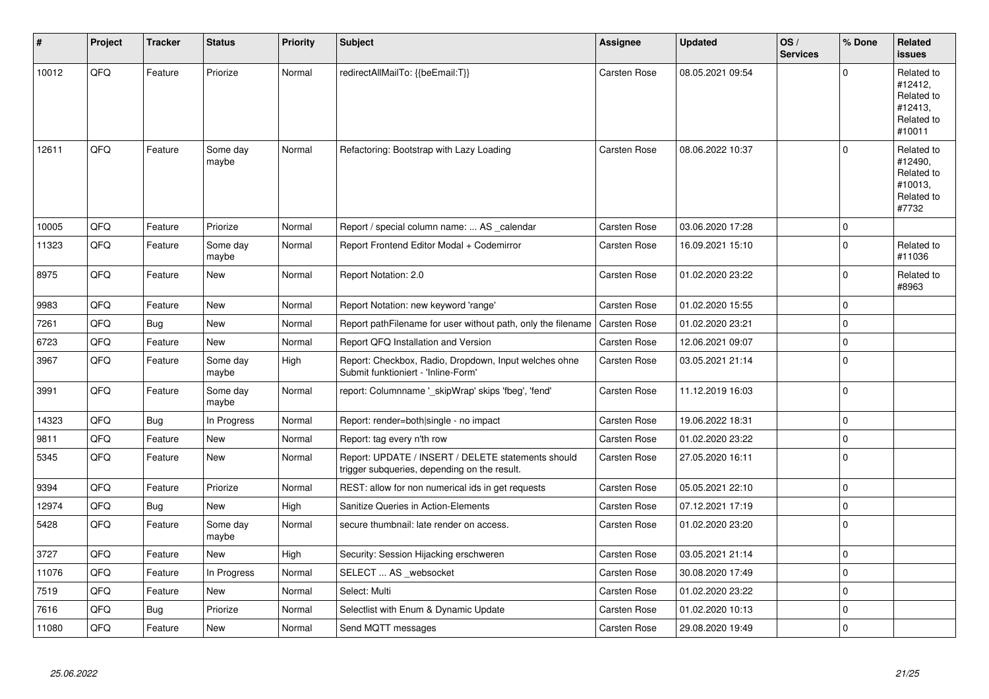| $\vert$ # | Project | <b>Tracker</b> | <b>Status</b>     | <b>Priority</b> | <b>Subject</b>                                                                                     | Assignee     | <b>Updated</b>   | OS/<br><b>Services</b> | % Done      | Related<br>issues                                                      |
|-----------|---------|----------------|-------------------|-----------------|----------------------------------------------------------------------------------------------------|--------------|------------------|------------------------|-------------|------------------------------------------------------------------------|
| 10012     | QFQ     | Feature        | Priorize          | Normal          | redirectAllMailTo: {{beEmail:T}}                                                                   | Carsten Rose | 08.05.2021 09:54 |                        | $\Omega$    | Related to<br>#12412,<br>Related to<br>#12413.<br>Related to<br>#10011 |
| 12611     | QFQ     | Feature        | Some day<br>maybe | Normal          | Refactoring: Bootstrap with Lazy Loading                                                           | Carsten Rose | 08.06.2022 10:37 |                        | $\Omega$    | Related to<br>#12490,<br>Related to<br>#10013,<br>Related to<br>#7732  |
| 10005     | QFQ     | Feature        | Priorize          | Normal          | Report / special column name:  AS _calendar                                                        | Carsten Rose | 03.06.2020 17:28 |                        | $\mathbf 0$ |                                                                        |
| 11323     | QFQ     | Feature        | Some day<br>maybe | Normal          | Report Frontend Editor Modal + Codemirror                                                          | Carsten Rose | 16.09.2021 15:10 |                        | $\Omega$    | Related to<br>#11036                                                   |
| 8975      | QFQ     | Feature        | New               | Normal          | Report Notation: 2.0                                                                               | Carsten Rose | 01.02.2020 23:22 |                        | $\Omega$    | Related to<br>#8963                                                    |
| 9983      | QFQ     | Feature        | New               | Normal          | Report Notation: new keyword 'range'                                                               | Carsten Rose | 01.02.2020 15:55 |                        | $\mathbf 0$ |                                                                        |
| 7261      | QFQ     | <b>Bug</b>     | <b>New</b>        | Normal          | Report pathFilename for user without path, only the filename                                       | Carsten Rose | 01.02.2020 23:21 |                        | 0           |                                                                        |
| 6723      | QFQ     | Feature        | New               | Normal          | Report QFQ Installation and Version                                                                | Carsten Rose | 12.06.2021 09:07 |                        | $\pmb{0}$   |                                                                        |
| 3967      | QFQ     | Feature        | Some day<br>maybe | High            | Report: Checkbox, Radio, Dropdown, Input welches ohne<br>Submit funktioniert - 'Inline-Form'       | Carsten Rose | 03.05.2021 21:14 |                        | $\pmb{0}$   |                                                                        |
| 3991      | QFQ     | Feature        | Some day<br>maybe | Normal          | report: Columnname '_skipWrap' skips 'fbeg', 'fend'                                                | Carsten Rose | 11.12.2019 16:03 |                        | $\Omega$    |                                                                        |
| 14323     | QFQ     | <b>Bug</b>     | In Progress       | Normal          | Report: render=both single - no impact                                                             | Carsten Rose | 19.06.2022 18:31 |                        | 0           |                                                                        |
| 9811      | QFQ     | Feature        | New               | Normal          | Report: tag every n'th row                                                                         | Carsten Rose | 01.02.2020 23:22 |                        | $\pmb{0}$   |                                                                        |
| 5345      | QFQ     | Feature        | New               | Normal          | Report: UPDATE / INSERT / DELETE statements should<br>trigger subqueries, depending on the result. | Carsten Rose | 27.05.2020 16:11 |                        | $\mathbf 0$ |                                                                        |
| 9394      | QFQ     | Feature        | Priorize          | Normal          | REST: allow for non numerical ids in get requests                                                  | Carsten Rose | 05.05.2021 22:10 |                        | $\mathbf 0$ |                                                                        |
| 12974     | QFQ     | <b>Bug</b>     | New               | High            | Sanitize Queries in Action-Elements                                                                | Carsten Rose | 07.12.2021 17:19 |                        | $\mathbf 0$ |                                                                        |
| 5428      | QFQ     | Feature        | Some day<br>maybe | Normal          | secure thumbnail: late render on access.                                                           | Carsten Rose | 01.02.2020 23:20 |                        | 0 l         |                                                                        |
| 3727      | QFQ     | Feature        | <b>New</b>        | High            | Security: Session Hijacking erschweren                                                             | Carsten Rose | 03.05.2021 21:14 |                        | $\pmb{0}$   |                                                                        |
| 11076     | QFQ     | Feature        | In Progress       | Normal          | SELECT  AS _websocket                                                                              | Carsten Rose | 30.08.2020 17:49 |                        | 0           |                                                                        |
| 7519      | QFQ     | Feature        | New               | Normal          | Select: Multi                                                                                      | Carsten Rose | 01.02.2020 23:22 |                        | 0           |                                                                        |
| 7616      | QFQ     | Bug            | Priorize          | Normal          | Selectlist with Enum & Dynamic Update                                                              | Carsten Rose | 01.02.2020 10:13 |                        | $\mathbf 0$ |                                                                        |
| 11080     | QFQ     | Feature        | New               | Normal          | Send MQTT messages                                                                                 | Carsten Rose | 29.08.2020 19:49 |                        | $\mathbf 0$ |                                                                        |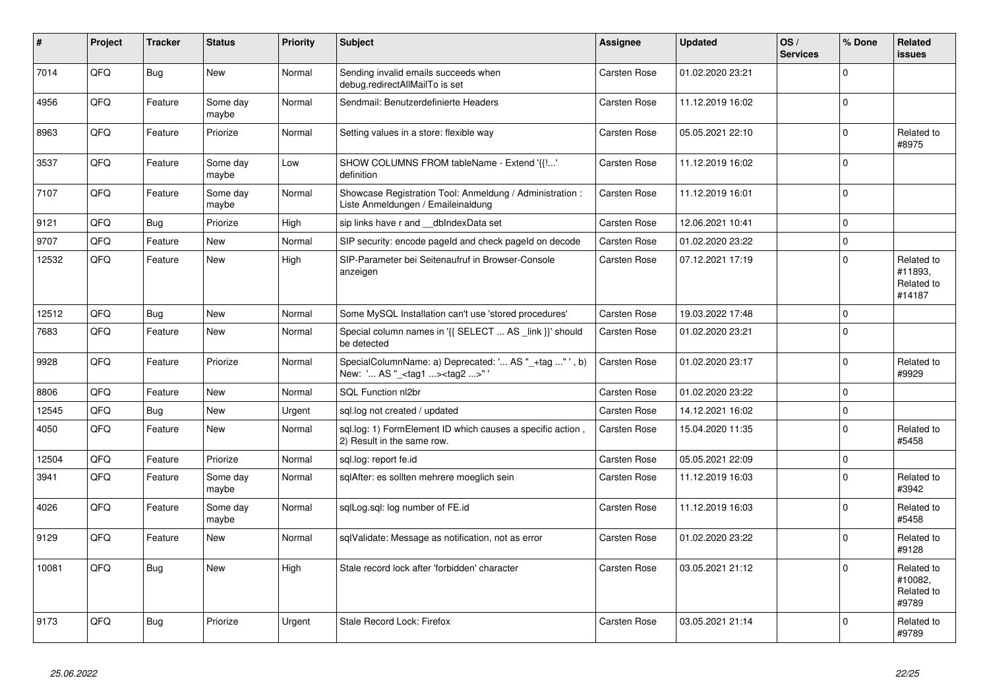| #     | Project | <b>Tracker</b> | <b>Status</b>     | <b>Priority</b> | <b>Subject</b>                                                                                    | Assignee            | <b>Updated</b>   | OS/<br><b>Services</b> | % Done         | Related<br><b>issues</b>                      |
|-------|---------|----------------|-------------------|-----------------|---------------------------------------------------------------------------------------------------|---------------------|------------------|------------------------|----------------|-----------------------------------------------|
| 7014  | QFQ     | <b>Bug</b>     | <b>New</b>        | Normal          | Sending invalid emails succeeds when<br>debug.redirectAllMailTo is set                            | Carsten Rose        | 01.02.2020 23:21 |                        | $\Omega$       |                                               |
| 4956  | QFQ     | Feature        | Some day<br>maybe | Normal          | Sendmail: Benutzerdefinierte Headers                                                              | Carsten Rose        | 11.12.2019 16:02 |                        | $\Omega$       |                                               |
| 8963  | QFQ     | Feature        | Priorize          | Normal          | Setting values in a store: flexible way                                                           | Carsten Rose        | 05.05.2021 22:10 |                        | $\Omega$       | Related to<br>#8975                           |
| 3537  | QFQ     | Feature        | Some day<br>maybe | Low             | SHOW COLUMNS FROM tableName - Extend '{{!'<br>definition                                          | Carsten Rose        | 11.12.2019 16:02 |                        | $\Omega$       |                                               |
| 7107  | QFQ     | Feature        | Some day<br>maybe | Normal          | Showcase Registration Tool: Anmeldung / Administration :<br>Liste Anmeldungen / Emaileinaldung    | Carsten Rose        | 11.12.2019 16:01 |                        | 0 l            |                                               |
| 9121  | QFQ     | Bug            | Priorize          | High            | sip links have r and dblndexData set                                                              | Carsten Rose        | 12.06.2021 10:41 |                        | $\mathbf 0$    |                                               |
| 9707  | QFQ     | Feature        | <b>New</b>        | Normal          | SIP security: encode pageld and check pageld on decode                                            | Carsten Rose        | 01.02.2020 23:22 |                        | $\overline{0}$ |                                               |
| 12532 | QFQ     | Feature        | New               | High            | SIP-Parameter bei Seitenaufruf in Browser-Console<br>anzeigen                                     | Carsten Rose        | 07.12.2021 17:19 |                        | $\Omega$       | Related to<br>#11893,<br>Related to<br>#14187 |
| 12512 | QFQ     | <b>Bug</b>     | <b>New</b>        | Normal          | Some MySQL Installation can't use 'stored procedures'                                             | Carsten Rose        | 19.03.2022 17:48 |                        | $\Omega$       |                                               |
| 7683  | QFQ     | Feature        | <b>New</b>        | Normal          | Special column names in '{{ SELECT  AS link }}' should<br>be detected                             | Carsten Rose        | 01.02.2020 23:21 |                        | $\Omega$       |                                               |
| 9928  | QFQ     | Feature        | Priorize          | Normal          | SpecialColumnName: a) Deprecated: ' AS "_+tag " ', b)<br>New: ' AS "_ <tag1><tag2>"</tag2></tag1> | Carsten Rose        | 01.02.2020 23:17 |                        | $\Omega$       | Related to<br>#9929                           |
| 8806  | QFQ     | Feature        | <b>New</b>        | Normal          | SQL Function nl2br                                                                                | Carsten Rose        | 01.02.2020 23:22 |                        | $\Omega$       |                                               |
| 12545 | QFQ     | Bug            | New               | Urgent          | sql.log not created / updated                                                                     | Carsten Rose        | 14.12.2021 16:02 |                        | $\mathbf 0$    |                                               |
| 4050  | QFQ     | Feature        | New               | Normal          | sql.log: 1) FormElement ID which causes a specific action,<br>2) Result in the same row.          | Carsten Rose        | 15.04.2020 11:35 |                        | $\Omega$       | Related to<br>#5458                           |
| 12504 | QFQ     | Feature        | Priorize          | Normal          | sql.log: report fe.id                                                                             | Carsten Rose        | 05.05.2021 22:09 |                        | $\mathbf 0$    |                                               |
| 3941  | QFQ     | Feature        | Some day<br>maybe | Normal          | sqlAfter: es sollten mehrere moeglich sein                                                        | Carsten Rose        | 11.12.2019 16:03 |                        | $\Omega$       | Related to<br>#3942                           |
| 4026  | QFQ     | Feature        | Some day<br>maybe | Normal          | sqlLog.sql: log number of FE.id                                                                   | Carsten Rose        | 11.12.2019 16:03 |                        | $\mathbf 0$    | Related to<br>#5458                           |
| 9129  | QFQ     | Feature        | New               | Normal          | sqlValidate: Message as notification, not as error                                                | <b>Carsten Rose</b> | 01.02.2020 23:22 |                        | $\Omega$       | Related to<br>#9128                           |
| 10081 | QFQ     | Bug            | New               | High            | Stale record lock after 'forbidden' character                                                     | Carsten Rose        | 03.05.2021 21:12 |                        | $\Omega$       | Related to<br>#10082,<br>Related to<br>#9789  |
| 9173  | QFQ     | <b>Bug</b>     | Priorize          | Urgent          | Stale Record Lock: Firefox                                                                        | <b>Carsten Rose</b> | 03.05.2021 21:14 |                        | $\Omega$       | Related to<br>#9789                           |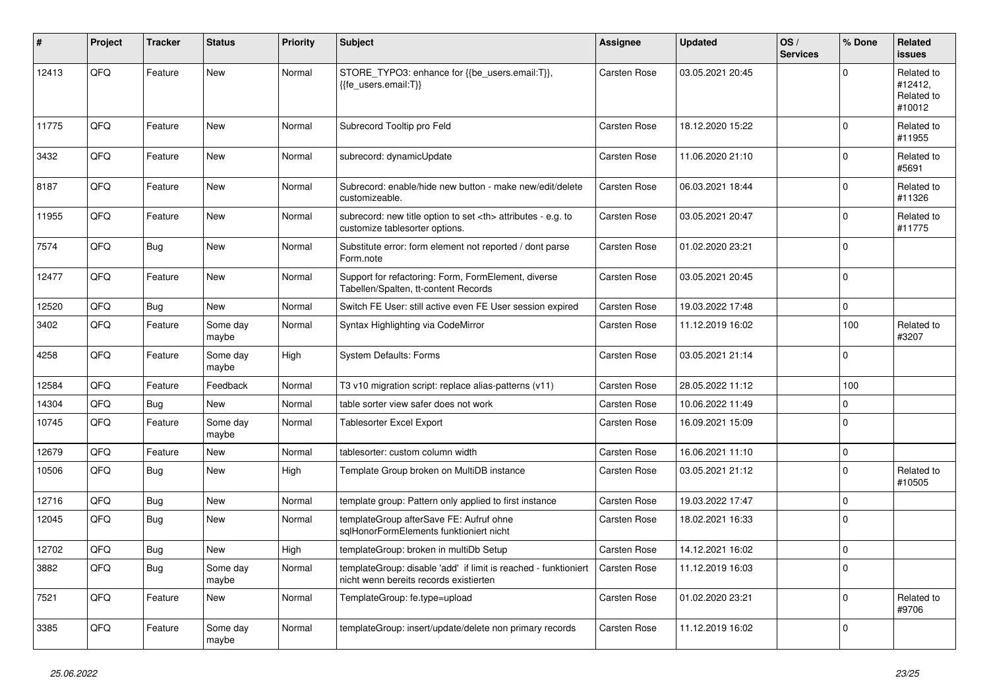| #     | Project | Tracker    | <b>Status</b>     | <b>Priority</b> | <b>Subject</b>                                                                                            | Assignee                                               | <b>Updated</b>   | OS/<br><b>Services</b> | % Done      | Related<br><b>issues</b>                      |                      |
|-------|---------|------------|-------------------|-----------------|-----------------------------------------------------------------------------------------------------------|--------------------------------------------------------|------------------|------------------------|-------------|-----------------------------------------------|----------------------|
| 12413 | QFQ     | Feature    | <b>New</b>        | Normal          | STORE_TYPO3: enhance for {{be_users.email:T}},<br>{{fe users.email:T}}                                    | <b>Carsten Rose</b>                                    | 03.05.2021 20:45 |                        | $\Omega$    | Related to<br>#12412,<br>Related to<br>#10012 |                      |
| 11775 | QFQ     | Feature    | <b>New</b>        | Normal          | Subrecord Tooltip pro Feld                                                                                | Carsten Rose                                           | 18.12.2020 15:22 |                        | $\Omega$    | Related to<br>#11955                          |                      |
| 3432  | QFQ     | Feature    | <b>New</b>        | Normal          | subrecord: dynamicUpdate                                                                                  | <b>Carsten Rose</b>                                    | 11.06.2020 21:10 |                        | $\Omega$    | Related to<br>#5691                           |                      |
| 8187  | QFQ     | Feature    | <b>New</b>        | Normal          | Subrecord: enable/hide new button - make new/edit/delete<br>customizeable.                                | <b>Carsten Rose</b>                                    | 06.03.2021 18:44 |                        | $\Omega$    | Related to<br>#11326                          |                      |
| 11955 | QFQ     | Feature    | <b>New</b>        | Normal          | subrecord: new title option to set <th> attributes - e.g. to<br/>customize tablesorter options.</th>      | attributes - e.g. to<br>customize tablesorter options. | Carsten Rose     | 03.05.2021 20:47       |             | $\Omega$                                      | Related to<br>#11775 |
| 7574  | QFQ     | Bug        | <b>New</b>        | Normal          | Substitute error: form element not reported / dont parse<br>Form.note                                     | <b>Carsten Rose</b>                                    | 01.02.2020 23:21 |                        | $\Omega$    |                                               |                      |
| 12477 | QFQ     | Feature    | <b>New</b>        | Normal          | Support for refactoring: Form, FormElement, diverse<br>Tabellen/Spalten, tt-content Records               | Carsten Rose                                           | 03.05.2021 20:45 |                        | $\mathbf 0$ |                                               |                      |
| 12520 | QFQ     | <b>Bug</b> | New               | Normal          | Switch FE User: still active even FE User session expired                                                 | Carsten Rose                                           | 19.03.2022 17:48 |                        | $\Omega$    |                                               |                      |
| 3402  | QFQ     | Feature    | Some day<br>maybe | Normal          | Syntax Highlighting via CodeMirror                                                                        | Carsten Rose                                           | 11.12.2019 16:02 |                        | 100         | Related to<br>#3207                           |                      |
| 4258  | QFQ     | Feature    | Some day<br>maybe | High            | <b>System Defaults: Forms</b>                                                                             | Carsten Rose                                           | 03.05.2021 21:14 |                        | $\Omega$    |                                               |                      |
| 12584 | QFQ     | Feature    | Feedback          | Normal          | T3 v10 migration script: replace alias-patterns (v11)                                                     | <b>Carsten Rose</b>                                    | 28.05.2022 11:12 |                        | 100         |                                               |                      |
| 14304 | QFQ     | Bug        | New               | Normal          | table sorter view safer does not work                                                                     | Carsten Rose                                           | 10.06.2022 11:49 |                        | $\mathbf 0$ |                                               |                      |
| 10745 | QFQ     | Feature    | Some day<br>maybe | Normal          | Tablesorter Excel Export                                                                                  | Carsten Rose                                           | 16.09.2021 15:09 |                        | $\mathbf 0$ |                                               |                      |
| 12679 | QFQ     | Feature    | <b>New</b>        | Normal          | tablesorter: custom column width                                                                          | <b>Carsten Rose</b>                                    | 16.06.2021 11:10 |                        | $\Omega$    |                                               |                      |
| 10506 | QFQ     | <b>Bug</b> | <b>New</b>        | High            | Template Group broken on MultiDB instance                                                                 | <b>Carsten Rose</b>                                    | 03.05.2021 21:12 |                        | $\Omega$    | Related to<br>#10505                          |                      |
| 12716 | QFQ     | <b>Bug</b> | <b>New</b>        | Normal          | template group: Pattern only applied to first instance                                                    | Carsten Rose                                           | 19.03.2022 17:47 |                        | $\Omega$    |                                               |                      |
| 12045 | QFQ     | Bug        | <b>New</b>        | Normal          | templateGroup afterSave FE: Aufruf ohne<br>sglHonorFormElements funktioniert nicht                        | Carsten Rose                                           | 18.02.2021 16:33 |                        | $\Omega$    |                                               |                      |
| 12702 | QFQ     | Bug        | <b>New</b>        | High            | templateGroup: broken in multiDb Setup                                                                    | <b>Carsten Rose</b>                                    | 14.12.2021 16:02 |                        | $\mathbf 0$ |                                               |                      |
| 3882  | QFQ     | Bug        | Some day<br>maybe | Normal          | templateGroup: disable 'add' if limit is reached - funktioniert<br>nicht wenn bereits records existierten | <b>Carsten Rose</b>                                    | 11.12.2019 16:03 |                        | $\Omega$    |                                               |                      |
| 7521  | QFQ     | Feature    | New               | Normal          | TemplateGroup: fe.type=upload                                                                             | Carsten Rose                                           | 01.02.2020 23:21 |                        | $\mathbf 0$ | Related to<br>#9706                           |                      |
| 3385  | QFQ     | Feature    | Some day<br>maybe | Normal          | templateGroup: insert/update/delete non primary records                                                   | Carsten Rose                                           | 11.12.2019 16:02 |                        | $\Omega$    |                                               |                      |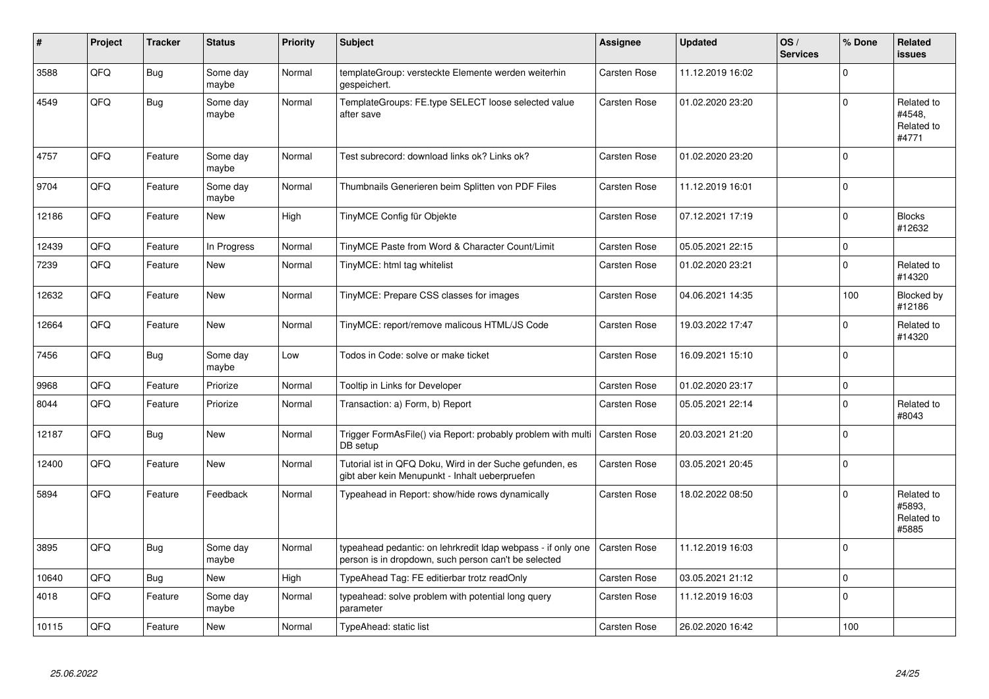| #     | Project | <b>Tracker</b> | <b>Status</b>     | <b>Priority</b> | <b>Subject</b>                                                                                                       | Assignee            | <b>Updated</b>   | OS/<br><b>Services</b> | % Done      | Related<br><b>issues</b>                    |
|-------|---------|----------------|-------------------|-----------------|----------------------------------------------------------------------------------------------------------------------|---------------------|------------------|------------------------|-------------|---------------------------------------------|
| 3588  | QFQ     | Bug            | Some day<br>maybe | Normal          | templateGroup: versteckte Elemente werden weiterhin<br>gespeichert.                                                  | Carsten Rose        | 11.12.2019 16:02 |                        | $\Omega$    |                                             |
| 4549  | QFQ     | <b>Bug</b>     | Some day<br>maybe | Normal          | TemplateGroups: FE.type SELECT loose selected value<br>after save                                                    | Carsten Rose        | 01.02.2020 23:20 |                        | $\Omega$    | Related to<br>#4548.<br>Related to<br>#4771 |
| 4757  | QFQ     | Feature        | Some day<br>maybe | Normal          | Test subrecord: download links ok? Links ok?                                                                         | Carsten Rose        | 01.02.2020 23:20 |                        | $\Omega$    |                                             |
| 9704  | QFQ     | Feature        | Some day<br>maybe | Normal          | Thumbnails Generieren beim Splitten von PDF Files                                                                    | <b>Carsten Rose</b> | 11.12.2019 16:01 |                        | $\Omega$    |                                             |
| 12186 | QFQ     | Feature        | <b>New</b>        | High            | TinyMCE Config für Objekte                                                                                           | Carsten Rose        | 07.12.2021 17:19 |                        | $\Omega$    | <b>Blocks</b><br>#12632                     |
| 12439 | QFQ     | Feature        | In Progress       | Normal          | TinyMCE Paste from Word & Character Count/Limit                                                                      | <b>Carsten Rose</b> | 05.05.2021 22:15 |                        | $\mathbf 0$ |                                             |
| 7239  | QFQ     | Feature        | <b>New</b>        | Normal          | TinyMCE: html tag whitelist                                                                                          | Carsten Rose        | 01.02.2020 23:21 |                        | $\Omega$    | Related to<br>#14320                        |
| 12632 | QFQ     | Feature        | <b>New</b>        | Normal          | TinyMCE: Prepare CSS classes for images                                                                              | Carsten Rose        | 04.06.2021 14:35 |                        | 100         | Blocked by<br>#12186                        |
| 12664 | QFQ     | Feature        | <b>New</b>        | Normal          | TinyMCE: report/remove malicous HTML/JS Code                                                                         | Carsten Rose        | 19.03.2022 17:47 |                        | $\Omega$    | Related to<br>#14320                        |
| 7456  | QFQ     | Bug            | Some day<br>maybe | Low             | Todos in Code: solve or make ticket                                                                                  | <b>Carsten Rose</b> | 16.09.2021 15:10 |                        | $\Omega$    |                                             |
| 9968  | QFQ     | Feature        | Priorize          | Normal          | Tooltip in Links for Developer                                                                                       | Carsten Rose        | 01.02.2020 23:17 |                        | $\mathbf 0$ |                                             |
| 8044  | QFQ     | Feature        | Priorize          | Normal          | Transaction: a) Form, b) Report                                                                                      | <b>Carsten Rose</b> | 05.05.2021 22:14 |                        | $\Omega$    | Related to<br>#8043                         |
| 12187 | QFQ     | Bug            | <b>New</b>        | Normal          | Trigger FormAsFile() via Report: probably problem with multi<br>DB setup                                             | <b>Carsten Rose</b> | 20.03.2021 21:20 |                        | $\Omega$    |                                             |
| 12400 | QFQ     | Feature        | <b>New</b>        | Normal          | Tutorial ist in QFQ Doku, Wird in der Suche gefunden, es<br>gibt aber kein Menupunkt - Inhalt ueberpruefen           | <b>Carsten Rose</b> | 03.05.2021 20:45 |                        | $\mathbf 0$ |                                             |
| 5894  | QFQ     | Feature        | Feedback          | Normal          | Typeahead in Report: show/hide rows dynamically                                                                      | Carsten Rose        | 18.02.2022 08:50 |                        | $\Omega$    | Related to<br>#5893,<br>Related to<br>#5885 |
| 3895  | QFQ     | Bug            | Some day<br>maybe | Normal          | typeahead pedantic: on lehrkredit Idap webpass - if only one<br>person is in dropdown, such person can't be selected | <b>Carsten Rose</b> | 11.12.2019 16:03 |                        | $\Omega$    |                                             |
| 10640 | QFQ     | Bug            | <b>New</b>        | High            | TypeAhead Tag: FE editierbar trotz readOnly                                                                          | Carsten Rose        | 03.05.2021 21:12 |                        | $\mathbf 0$ |                                             |
| 4018  | QFQ     | Feature        | Some day<br>maybe | Normal          | typeahead: solve problem with potential long query<br>parameter                                                      | Carsten Rose        | 11.12.2019 16:03 |                        | $\Omega$    |                                             |
| 10115 | QFQ     | Feature        | New               | Normal          | TypeAhead: static list                                                                                               | Carsten Rose        | 26.02.2020 16:42 |                        | 100         |                                             |